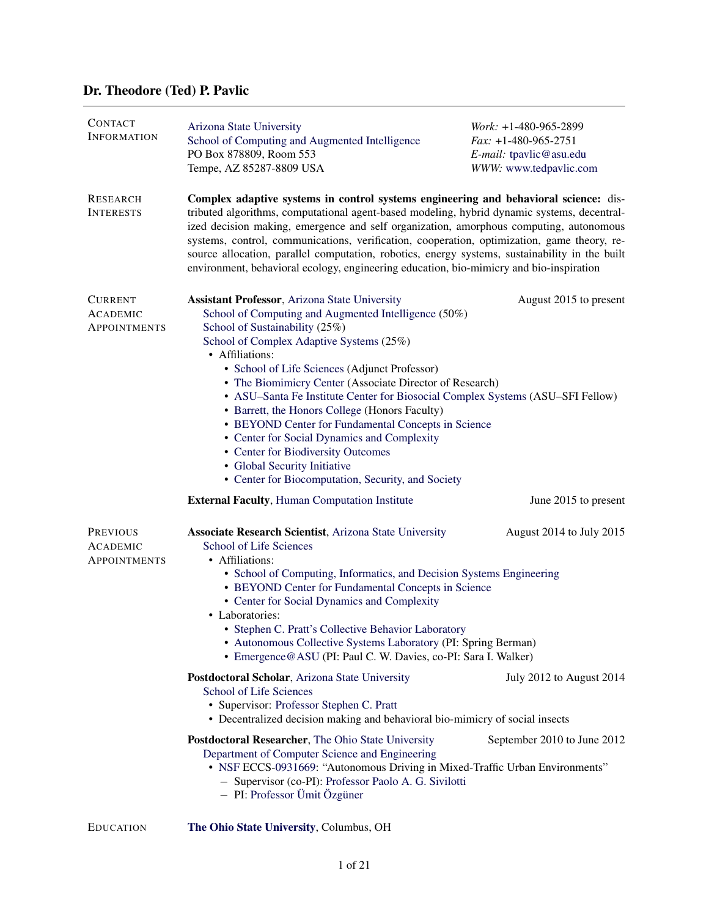# Dr. Theodore (Ted) P. Pavlic

| <b>CONTACT</b><br><b>INFORMATION</b>               | Arizona State University<br>School of Computing and Augmented Intelligence<br>PO Box 878809, Room 553<br>Tempe, AZ 85287-8809 USA                                                                                                                                                                                                                                                                                                                                                                                                                                                                                                                                                                 | Work: $+1-480-965-2899$<br>$Fax: +1-480-965-2751$<br>E-mail: tpavlic@asu.edu<br>WWW: www.tedpavlic.com |
|----------------------------------------------------|---------------------------------------------------------------------------------------------------------------------------------------------------------------------------------------------------------------------------------------------------------------------------------------------------------------------------------------------------------------------------------------------------------------------------------------------------------------------------------------------------------------------------------------------------------------------------------------------------------------------------------------------------------------------------------------------------|--------------------------------------------------------------------------------------------------------|
| <b>RESEARCH</b><br><b>INTERESTS</b>                | Complex adaptive systems in control systems engineering and behavioral science: dis-<br>tributed algorithms, computational agent-based modeling, hybrid dynamic systems, decentral-<br>ized decision making, emergence and self organization, amorphous computing, autonomous<br>systems, control, communications, verification, cooperation, optimization, game theory, re-<br>source allocation, parallel computation, robotics, energy systems, sustainability in the built<br>environment, behavioral ecology, engineering education, bio-mimicry and bio-inspiration                                                                                                                         |                                                                                                        |
| <b>CURRENT</b><br><b>ACADEMIC</b><br>APPOINTMENTS  | <b>Assistant Professor</b> , Arizona State University<br>School of Computing and Augmented Intelligence (50%)<br>School of Sustainability (25%)<br>School of Complex Adaptive Systems (25%)<br>• Affiliations:<br>• School of Life Sciences (Adjunct Professor)<br>• The Biomimicry Center (Associate Director of Research)<br>• ASU-Santa Fe Institute Center for Biosocial Complex Systems (ASU-SFI Fellow)<br>• Barrett, the Honors College (Honors Faculty)<br>• BEYOND Center for Fundamental Concepts in Science<br>• Center for Social Dynamics and Complexity<br>• Center for Biodiversity Outcomes<br>· Global Security Initiative<br>• Center for Biocomputation, Security, and Society | August 2015 to present                                                                                 |
|                                                    | <b>External Faculty, Human Computation Institute</b>                                                                                                                                                                                                                                                                                                                                                                                                                                                                                                                                                                                                                                              | June 2015 to present                                                                                   |
| PREVIOUS<br><b>ACADEMIC</b><br><b>APPOINTMENTS</b> | <b>Associate Research Scientist</b> , Arizona State University<br>August 2014 to July 2015<br>School of Life Sciences<br>• Affiliations:<br>• School of Computing, Informatics, and Decision Systems Engineering<br>• BEYOND Center for Fundamental Concepts in Science<br>• Center for Social Dynamics and Complexity<br>• Laboratories:<br>• Stephen C. Pratt's Collective Behavior Laboratory<br>• Autonomous Collective Systems Laboratory (PI: Spring Berman)<br>• Emergence@ASU (PI: Paul C. W. Davies, co-PI: Sara I. Walker)                                                                                                                                                              |                                                                                                        |
|                                                    | Postdoctoral Scholar, Arizona State University<br><b>School of Life Sciences</b><br>• Supervisor: Professor Stephen C. Pratt<br>• Decentralized decision making and behavioral bio-mimicry of social insects                                                                                                                                                                                                                                                                                                                                                                                                                                                                                      | July 2012 to August 2014                                                                               |
|                                                    | Postdoctoral Researcher, The Ohio State University<br>Department of Computer Science and Engineering<br>• NSF ECCS-0931669: "Autonomous Driving in Mixed-Traffic Urban Environments"<br>- Supervisor (co-PI): Professor Paolo A. G. Sivilotti<br>- PI: Professor Ümit Özgüner                                                                                                                                                                                                                                                                                                                                                                                                                     | September 2010 to June 2012                                                                            |
| <b>EDUCATION</b>                                   | The Ohio State University, Columbus, OH                                                                                                                                                                                                                                                                                                                                                                                                                                                                                                                                                                                                                                                           |                                                                                                        |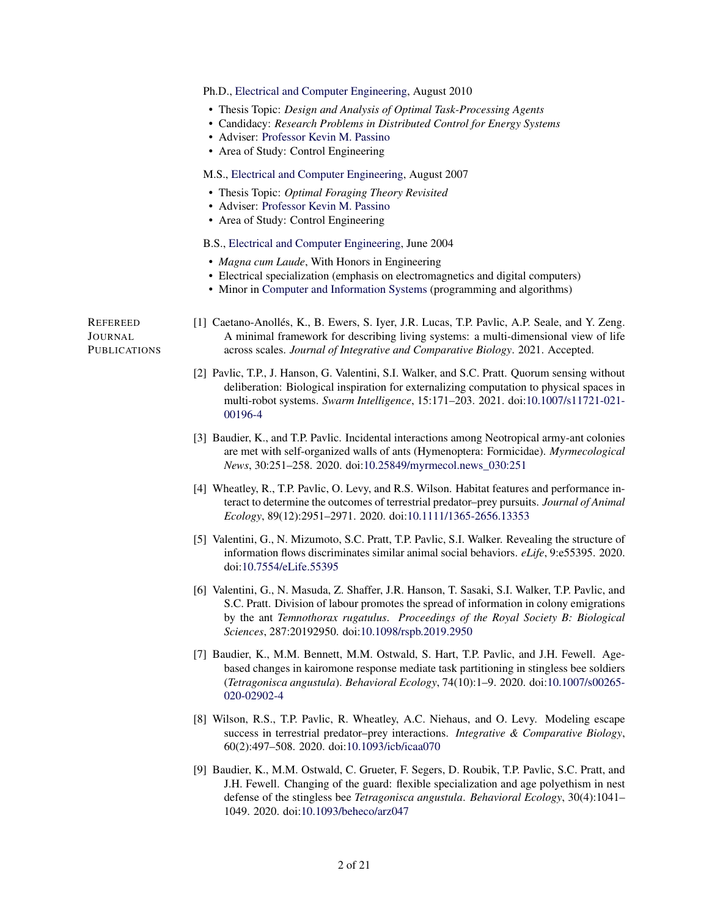|                                     | Ph.D., Electrical and Computer Engineering, August 2010                                                                                                                                                                                                                                                                              |
|-------------------------------------|--------------------------------------------------------------------------------------------------------------------------------------------------------------------------------------------------------------------------------------------------------------------------------------------------------------------------------------|
|                                     | • Thesis Topic: Design and Analysis of Optimal Task-Processing Agents<br>• Candidacy: Research Problems in Distributed Control for Energy Systems<br>• Adviser: Professor Kevin M. Passino<br>• Area of Study: Control Engineering                                                                                                   |
|                                     | M.S., Electrical and Computer Engineering, August 2007                                                                                                                                                                                                                                                                               |
|                                     | • Thesis Topic: Optimal Foraging Theory Revisited<br>• Adviser: Professor Kevin M. Passino<br>• Area of Study: Control Engineering                                                                                                                                                                                                   |
|                                     | B.S., Electrical and Computer Engineering, June 2004                                                                                                                                                                                                                                                                                 |
|                                     | • Magna cum Laude, With Honors in Engineering<br>• Electrical specialization (emphasis on electromagnetics and digital computers)<br>• Minor in Computer and Information Systems (programming and algorithms)                                                                                                                        |
| REFEREED<br>Journal<br>PUBLICATIONS | [1] Caetano-Anollés, K., B. Ewers, S. Iyer, J.R. Lucas, T.P. Pavlic, A.P. Seale, and Y. Zeng.<br>A minimal framework for describing living systems: a multi-dimensional view of life<br>across scales. Journal of Integrative and Comparative Biology. 2021. Accepted.                                                               |
|                                     | [2] Pavlic, T.P., J. Hanson, G. Valentini, S.I. Walker, and S.C. Pratt. Quorum sensing without<br>deliberation: Biological inspiration for externalizing computation to physical spaces in<br>multi-robot systems. Swarm Intelligence, 15:171-203. 2021. doi:10.1007/s11721-021-<br>00196-4                                          |
|                                     | [3] Baudier, K., and T.P. Pavlic. Incidental interactions among Neotropical army-ant colonies<br>are met with self-organized walls of ants (Hymenoptera: Formicidae). Myrmecological<br>News, 30:251-258. 2020. doi:10.25849/myrmecol.news_030:251                                                                                   |
|                                     | [4] Wheatley, R., T.P. Pavlic, O. Levy, and R.S. Wilson. Habitat features and performance in-<br>teract to determine the outcomes of terrestrial predator-prey pursuits. Journal of Animal<br>Ecology, 89(12):2951-2971. 2020. doi:10.1111/1365-2656.13353                                                                           |
|                                     | [5] Valentini, G., N. Mizumoto, S.C. Pratt, T.P. Pavlic, S.I. Walker. Revealing the structure of<br>information flows discriminates similar animal social behaviors. eLife, 9:e55395. 2020.<br>doi:10.7554/eLife.55395                                                                                                               |
|                                     | [6] Valentini, G., N. Masuda, Z. Shaffer, J.R. Hanson, T. Sasaki, S.I. Walker, T.P. Pavlic, and<br>S.C. Pratt. Division of labour promotes the spread of information in colony emigrations<br>by the ant Temnothorax rugatulus. Proceedings of the Royal Society B: Biological<br>Sciences, 287:20192950. doi:10.1098/rspb.2019.2950 |
|                                     | [7] Baudier, K., M.M. Bennett, M.M. Ostwald, S. Hart, T.P. Pavlic, and J.H. Fewell. Age-<br>based changes in kairomone response mediate task partitioning in stingless bee soldiers<br>(Tetragonisca angustula). Behavioral Ecology, 74(10):1-9. 2020. doi:10.1007/s00265-<br>020-02902-4                                            |
|                                     | [8] Wilson, R.S., T.P. Pavlic, R. Wheatley, A.C. Niehaus, and O. Levy. Modeling escape                                                                                                                                                                                                                                               |

[9] Baudier, K., M.M. Ostwald, C. Grueter, F. Segers, D. Roubik, T.P. Pavlic, S.C. Pratt, and J.H. Fewell. Changing of the guard: flexible specialization and age polyethism in nest defense of the stingless bee *Tetragonisca angustula*. *Behavioral Ecology*, 30(4):1041– 1049. 2020. doi[:10.1093/beheco/arz047](https://doi.org/10.1093/beheco/arz047)

success in terrestrial predator–prey interactions. *Integrative & Comparative Biology*,

60(2):497–508. 2020. doi[:10.1093/icb/icaa070](https://doi.org/10.1093/icb/icaa070)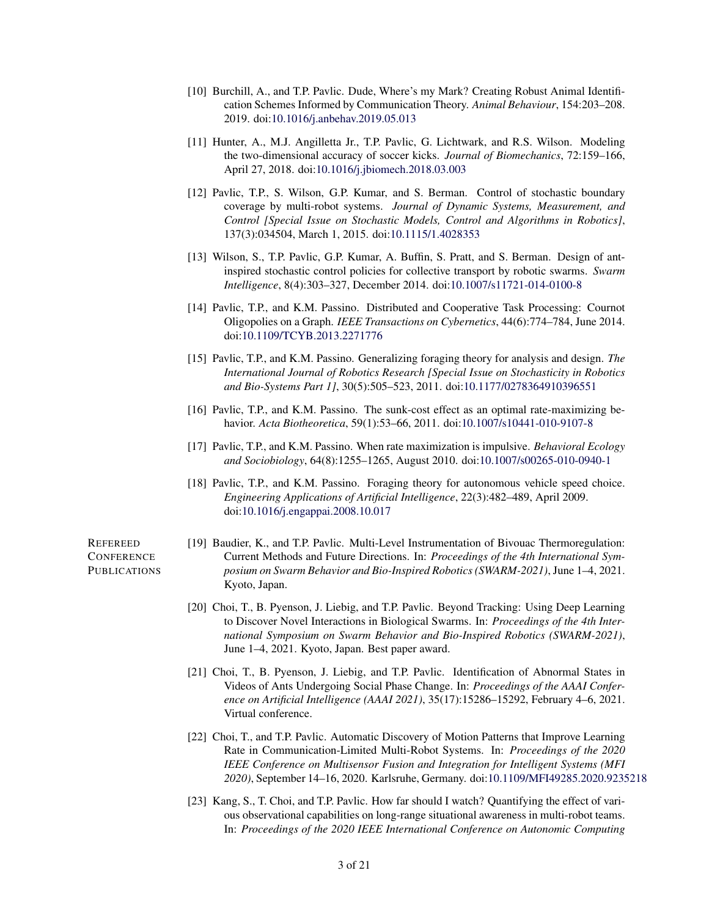- [10] Burchill, A., and T.P. Pavlic. Dude, Where's my Mark? Creating Robust Animal Identification Schemes Informed by Communication Theory. *Animal Behaviour*, 154:203–208. 2019. doi[:10.1016/j.anbehav.2019.05.013](https://doi.org/10.1016/j.anbehav.2019.05.013)
- [11] Hunter, A., M.J. Angilletta Jr., T.P. Pavlic, G. Lichtwark, and R.S. Wilson. Modeling the two-dimensional accuracy of soccer kicks. *Journal of Biomechanics*, 72:159–166, April 27, 2018. doi[:10.1016/j.jbiomech.2018.03.003](https://doi.org/10.1016/j.jbiomech.2018.03.003)
- [12] Pavlic, T.P., S. Wilson, G.P. Kumar, and S. Berman. Control of stochastic boundary coverage by multi-robot systems. *Journal of Dynamic Systems, Measurement, and Control [Special Issue on Stochastic Models, Control and Algorithms in Robotics]*, 137(3):034504, March 1, 2015. doi[:10.1115/1.4028353](https://doi.org/10.1115/1.4028353)
- [13] Wilson, S., T.P. Pavlic, G.P. Kumar, A. Buffin, S. Pratt, and S. Berman. Design of antinspired stochastic control policies for collective transport by robotic swarms. *Swarm Intelligence*, 8(4):303–327, December 2014. doi[:10.1007/s11721-014-0100-8](https://doi.org/10.1007/s11721-014-0100-8)
- [14] Pavlic, T.P., and K.M. Passino. Distributed and Cooperative Task Processing: Cournot Oligopolies on a Graph. *IEEE Transactions on Cybernetics*, 44(6):774–784, June 2014. doi[:10.1109/TCYB.2013.2271776](https://doi.org/10.1109/TCYB.2013.2271776)
- [15] Pavlic, T.P., and K.M. Passino. Generalizing foraging theory for analysis and design. *The International Journal of Robotics Research [Special Issue on Stochasticity in Robotics and Bio-Systems Part 1]*, 30(5):505–523, 2011. doi[:10.1177/0278364910396551](https://doi.org/10.1177/0278364910396551)
- [16] Pavlic, T.P., and K.M. Passino. The sunk-cost effect as an optimal rate-maximizing behavior. *Acta Biotheoretica*, 59(1):53–66, 2011. doi[:10.1007/s10441-010-9107-8](https://doi.org/10.1007/s10441-010-9107-8)
- [17] Pavlic, T.P., and K.M. Passino. When rate maximization is impulsive. *Behavioral Ecology and Sociobiology*, 64(8):1255–1265, August 2010. doi[:10.1007/s00265-010-0940-1](https://doi.org/10.1007/s00265-010-0940-1)
- [18] Pavlic, T.P., and K.M. Passino. Foraging theory for autonomous vehicle speed choice. *Engineering Applications of Artificial Intelligence*, 22(3):482–489, April 2009. doi[:10.1016/j.engappai.2008.10.017](https://doi.org/10.1016/j.engappai.2008.10.017)

REFEREED **CONFERENCE PUBLICATIONS** 

- [19] Baudier, K., and T.P. Pavlic. Multi-Level Instrumentation of Bivouac Thermoregulation: Current Methods and Future Directions. In: *Proceedings of the 4th International Symposium on Swarm Behavior and Bio-Inspired Robotics (SWARM-2021)*, June 1–4, 2021. Kyoto, Japan.
- [20] Choi, T., B. Pyenson, J. Liebig, and T.P. Pavlic. Beyond Tracking: Using Deep Learning to Discover Novel Interactions in Biological Swarms. In: *Proceedings of the 4th International Symposium on Swarm Behavior and Bio-Inspired Robotics (SWARM-2021)*, June 1–4, 2021. Kyoto, Japan. Best paper award.
- [21] Choi, T., B. Pyenson, J. Liebig, and T.P. Pavlic. Identification of Abnormal States in Videos of Ants Undergoing Social Phase Change. In: *Proceedings of the AAAI Conference on Artificial Intelligence (AAAI 2021)*, 35(17):15286–15292, February 4–6, 2021. Virtual conference.
- [22] Choi, T., and T.P. Pavlic. Automatic Discovery of Motion Patterns that Improve Learning Rate in Communication-Limited Multi-Robot Systems. In: *Proceedings of the 2020 IEEE Conference on Multisensor Fusion and Integration for Intelligent Systems (MFI 2020)*, September 14–16, 2020. Karlsruhe, Germany. doi[:10.1109/MFI49285.2020.9235218](https://doi.org/10.1109/MFI49285.2020.9235218)
- [23] Kang, S., T. Choi, and T.P. Pavlic. How far should I watch? Quantifying the effect of various observational capabilities on long-range situational awareness in multi-robot teams. In: *Proceedings of the 2020 IEEE International Conference on Autonomic Computing*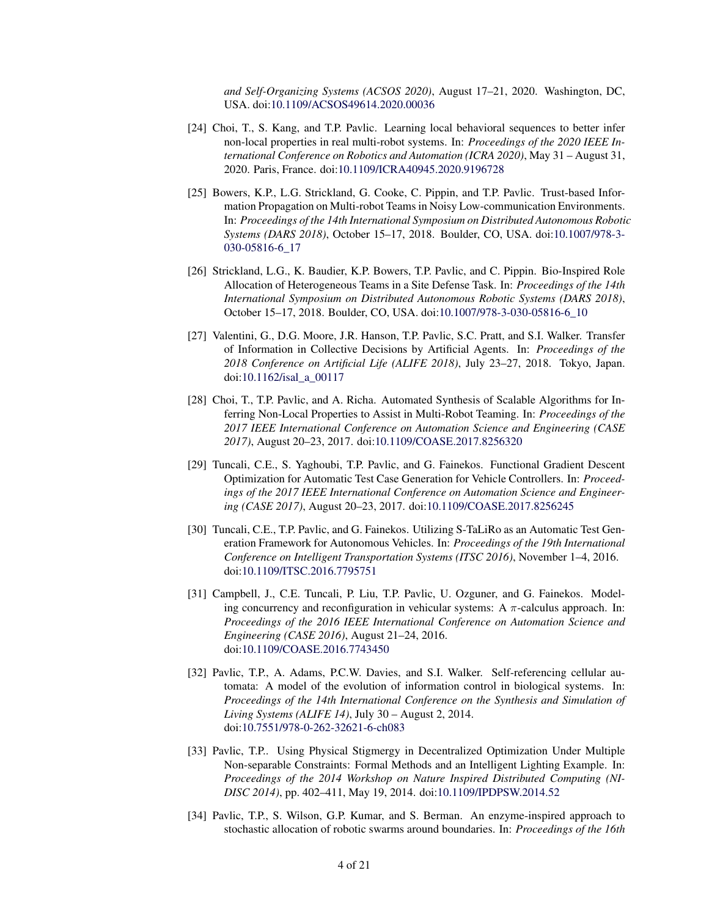*and Self-Organizing Systems (ACSOS 2020)*, August 17–21, 2020. Washington, DC, USA. doi[:10.1109/ACSOS49614.2020.00036](https://doi.org/10.1109/ACSOS49614.2020.00036)

- [24] Choi, T., S. Kang, and T.P. Pavlic. Learning local behavioral sequences to better infer non-local properties in real multi-robot systems. In: *Proceedings of the 2020 IEEE International Conference on Robotics and Automation (ICRA 2020)*, May 31 – August 31, 2020. Paris, France. doi[:10.1109/ICRA40945.2020.9196728](https://doi.org/10.1109/ICRA40945.2020.9196728)
- [25] Bowers, K.P., L.G. Strickland, G. Cooke, C. Pippin, and T.P. Pavlic. Trust-based Information Propagation on Multi-robot Teams in Noisy Low-communication Environments. In: *Proceedings of the 14th International Symposium on Distributed Autonomous Robotic Systems (DARS 2018)*, October 15–17, 2018. Boulder, CO, USA. doi[:10.1007/978-3-](https://doi.org/10.1007/978-3-030-05816-6_17) [030-05816-6\\_17](https://doi.org/10.1007/978-3-030-05816-6_17)
- [26] Strickland, L.G., K. Baudier, K.P. Bowers, T.P. Pavlic, and C. Pippin. Bio-Inspired Role Allocation of Heterogeneous Teams in a Site Defense Task. In: *Proceedings of the 14th International Symposium on Distributed Autonomous Robotic Systems (DARS 2018)*, October 15–17, 2018. Boulder, CO, USA. doi[:10.1007/978-3-030-05816-6\\_10](https://doi.org/10.1007/978-3-030-05816-6_10)
- [27] Valentini, G., D.G. Moore, J.R. Hanson, T.P. Pavlic, S.C. Pratt, and S.I. Walker. Transfer of Information in Collective Decisions by Artificial Agents. In: *Proceedings of the 2018 Conference on Artificial Life (ALIFE 2018)*, July 23–27, 2018. Tokyo, Japan. doi[:10.1162/isal\\_a\\_00117](https://doi.org/10.1162/isal_a_00117)
- [28] Choi, T., T.P. Pavlic, and A. Richa. Automated Synthesis of Scalable Algorithms for Inferring Non-Local Properties to Assist in Multi-Robot Teaming. In: *Proceedings of the 2017 IEEE International Conference on Automation Science and Engineering (CASE 2017)*, August 20–23, 2017. doi[:10.1109/COASE.2017.8256320](https://doi.org/10.1109/COASE.2017.8256320)
- [29] Tuncali, C.E., S. Yaghoubi, T.P. Pavlic, and G. Fainekos. Functional Gradient Descent Optimization for Automatic Test Case Generation for Vehicle Controllers. In: *Proceedings of the 2017 IEEE International Conference on Automation Science and Engineering (CASE 2017)*, August 20–23, 2017. doi[:10.1109/COASE.2017.8256245](https://doi.org/10.1109/COASE.2017.8256245)
- [30] Tuncali, C.E., T.P. Pavlic, and G. Fainekos. Utilizing S-TaLiRo as an Automatic Test Generation Framework for Autonomous Vehicles. In: *Proceedings of the 19th International Conference on Intelligent Transportation Systems (ITSC 2016)*, November 1–4, 2016. doi[:10.1109/ITSC.2016.7795751](https://doi.org/10.1109/ITSC.2016.7795751)
- [31] Campbell, J., C.E. Tuncali, P. Liu, T.P. Pavlic, U. Ozguner, and G. Fainekos. Modeling concurrency and reconfiguration in vehicular systems: A  $\pi$ -calculus approach. In: *Proceedings of the 2016 IEEE International Conference on Automation Science and Engineering (CASE 2016)*, August 21–24, 2016. doi[:10.1109/COASE.2016.7743450](https://doi.org/10.1109/COASE.2016.7743450)
- [32] Pavlic, T.P., A. Adams, P.C.W. Davies, and S.I. Walker. Self-referencing cellular automata: A model of the evolution of information control in biological systems. In: *Proceedings of the 14th International Conference on the Synthesis and Simulation of Living Systems (ALIFE 14)*, July 30 – August 2, 2014. doi[:10.7551/978-0-262-32621-6-ch083](https://doi.org/10.7551/978-0-262-32621-6-ch083)
- [33] Pavlic, T.P.. Using Physical Stigmergy in Decentralized Optimization Under Multiple Non-separable Constraints: Formal Methods and an Intelligent Lighting Example. In: *Proceedings of the 2014 Workshop on Nature Inspired Distributed Computing (NI-DISC 2014)*, pp. 402–411, May 19, 2014. doi[:10.1109/IPDPSW.2014.52](https://doi.org/10.1109/IPDPSW.2014.52)
- [34] Pavlic, T.P., S. Wilson, G.P. Kumar, and S. Berman. An enzyme-inspired approach to stochastic allocation of robotic swarms around boundaries. In: *Proceedings of the 16th*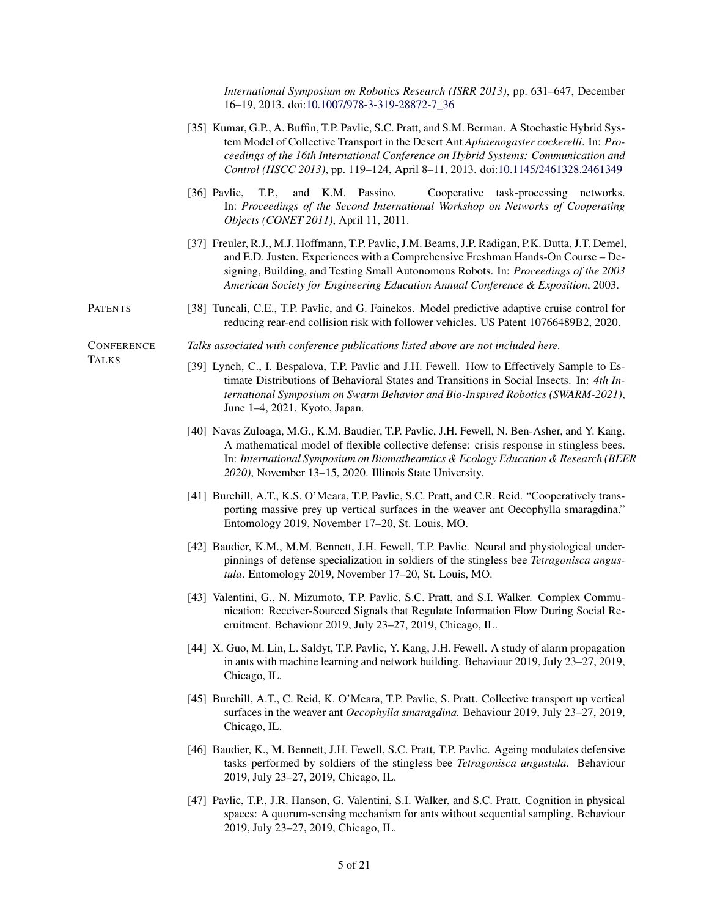*International Symposium on Robotics Research (ISRR 2013)*, pp. 631–647, December 16–19, 2013. doi[:10.1007/978-3-319-28872-7\\_36](https://doi.org/10.1007/978-3-319-28872-7_36)

- [35] Kumar, G.P., A. Buffin, T.P. Pavlic, S.C. Pratt, and S.M. Berman. A Stochastic Hybrid System Model of Collective Transport in the Desert Ant *Aphaenogaster cockerelli*. In: *Proceedings of the 16th International Conference on Hybrid Systems: Communication and Control (HSCC 2013)*, pp. 119–124, April 8–11, 2013. doi[:10.1145/2461328.2461349](https://doi.org/10.1145/2461328.2461349)
- [36] Pavlic, T.P., and K.M. Passino. Cooperative task-processing networks. In: *Proceedings of the Second International Workshop on Networks of Cooperating Objects (CONET 2011)*, April 11, 2011.
- [37] Freuler, R.J., M.J. Hoffmann, T.P. Pavlic, J.M. Beams, J.P. Radigan, P.K. Dutta, J.T. Demel, and E.D. Justen. Experiences with a Comprehensive Freshman Hands-On Course – Designing, Building, and Testing Small Autonomous Robots. In: *Proceedings of the 2003 American Society for Engineering Education Annual Conference & Exposition*, 2003.
- PATENTS [38] Tuncali, C.E., T.P. Pavlic, and G. Fainekos. Model predictive adaptive cruise control for reducing rear-end collision risk with follower vehicles. US Patent 10766489B2, 2020.

*Talks associated with conference publications listed above are not included here.*

**CONFERENCE** TALKS

- [39] Lynch, C., I. Bespalova, T.P. Pavlic and J.H. Fewell. How to Effectively Sample to Es
	- timate Distributions of Behavioral States and Transitions in Social Insects. In: *4th International Symposium on Swarm Behavior and Bio-Inspired Robotics (SWARM-2021)*, June 1–4, 2021. Kyoto, Japan.
	- [40] Navas Zuloaga, M.G., K.M. Baudier, T.P. Pavlic, J.H. Fewell, N. Ben-Asher, and Y. Kang. A mathematical model of flexible collective defense: crisis response in stingless bees. In: *International Symposium on Biomatheamtics & Ecology Education & Research (BEER 2020)*, November 13–15, 2020. Illinois State University.
	- [41] Burchill, A.T., K.S. O'Meara, T.P. Pavlic, S.C. Pratt, and C.R. Reid. "Cooperatively transporting massive prey up vertical surfaces in the weaver ant Oecophylla smaragdina." Entomology 2019, November 17–20, St. Louis, MO.
	- [42] Baudier, K.M., M.M. Bennett, J.H. Fewell, T.P. Pavlic. Neural and physiological underpinnings of defense specialization in soldiers of the stingless bee *Tetragonisca angustula*. Entomology 2019, November 17–20, St. Louis, MO.
	- [43] Valentini, G., N. Mizumoto, T.P. Pavlic, S.C. Pratt, and S.I. Walker. Complex Communication: Receiver-Sourced Signals that Regulate Information Flow During Social Recruitment. Behaviour 2019, July 23–27, 2019, Chicago, IL.
	- [44] X. Guo, M. Lin, L. Saldyt, T.P. Pavlic, Y. Kang, J.H. Fewell. A study of alarm propagation in ants with machine learning and network building. Behaviour 2019, July 23–27, 2019, Chicago, IL.
	- [45] Burchill, A.T., C. Reid, K. O'Meara, T.P. Pavlic, S. Pratt. Collective transport up vertical surfaces in the weaver ant *Oecophylla smaragdina.* Behaviour 2019, July 23–27, 2019, Chicago, IL.
	- [46] Baudier, K., M. Bennett, J.H. Fewell, S.C. Pratt, T.P. Pavlic. Ageing modulates defensive tasks performed by soldiers of the stingless bee *Tetragonisca angustula*. Behaviour 2019, July 23–27, 2019, Chicago, IL.
	- [47] Pavlic, T.P., J.R. Hanson, G. Valentini, S.I. Walker, and S.C. Pratt. Cognition in physical spaces: A quorum-sensing mechanism for ants without sequential sampling. Behaviour 2019, July 23–27, 2019, Chicago, IL.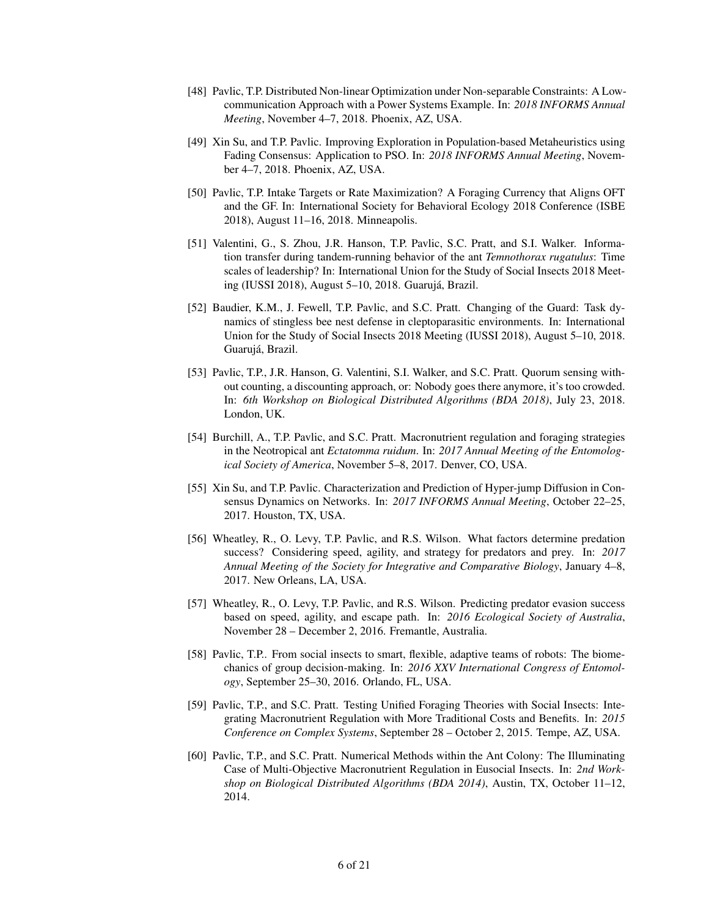- [48] Pavlic, T.P. Distributed Non-linear Optimization under Non-separable Constraints: A Lowcommunication Approach with a Power Systems Example. In: *2018 INFORMS Annual Meeting*, November 4–7, 2018. Phoenix, AZ, USA.
- [49] Xin Su, and T.P. Pavlic. Improving Exploration in Population-based Metaheuristics using Fading Consensus: Application to PSO. In: *2018 INFORMS Annual Meeting*, November 4–7, 2018. Phoenix, AZ, USA.
- [50] Pavlic, T.P. Intake Targets or Rate Maximization? A Foraging Currency that Aligns OFT and the GF. In: International Society for Behavioral Ecology 2018 Conference (ISBE 2018), August 11–16, 2018. Minneapolis.
- [51] Valentini, G., S. Zhou, J.R. Hanson, T.P. Pavlic, S.C. Pratt, and S.I. Walker. Information transfer during tandem-running behavior of the ant *Temnothorax rugatulus*: Time scales of leadership? In: International Union for the Study of Social Insects 2018 Meeting (IUSSI 2018), August 5–10, 2018. Guarujá, Brazil.
- [52] Baudier, K.M., J. Fewell, T.P. Pavlic, and S.C. Pratt. Changing of the Guard: Task dynamics of stingless bee nest defense in cleptoparasitic environments. In: International Union for the Study of Social Insects 2018 Meeting (IUSSI 2018), August 5–10, 2018. Guarujá, Brazil.
- [53] Pavlic, T.P., J.R. Hanson, G. Valentini, S.I. Walker, and S.C. Pratt. Quorum sensing without counting, a discounting approach, or: Nobody goes there anymore, it's too crowded. In: *6th Workshop on Biological Distributed Algorithms (BDA 2018)*, July 23, 2018. London, UK.
- [54] Burchill, A., T.P. Pavlic, and S.C. Pratt. Macronutrient regulation and foraging strategies in the Neotropical ant *Ectatomma ruidum*. In: *2017 Annual Meeting of the Entomological Society of America*, November 5–8, 2017. Denver, CO, USA.
- [55] Xin Su, and T.P. Pavlic. Characterization and Prediction of Hyper-jump Diffusion in Consensus Dynamics on Networks. In: *2017 INFORMS Annual Meeting*, October 22–25, 2017. Houston, TX, USA.
- [56] Wheatley, R., O. Levy, T.P. Pavlic, and R.S. Wilson. What factors determine predation success? Considering speed, agility, and strategy for predators and prey. In: *2017 Annual Meeting of the Society for Integrative and Comparative Biology*, January 4–8, 2017. New Orleans, LA, USA.
- [57] Wheatley, R., O. Levy, T.P. Pavlic, and R.S. Wilson. Predicting predator evasion success based on speed, agility, and escape path. In: *2016 Ecological Society of Australia*, November 28 – December 2, 2016. Fremantle, Australia.
- [58] Pavlic, T.P.. From social insects to smart, flexible, adaptive teams of robots: The biomechanics of group decision-making. In: *2016 XXV International Congress of Entomology*, September 25–30, 2016. Orlando, FL, USA.
- [59] Pavlic, T.P., and S.C. Pratt. Testing Unified Foraging Theories with Social Insects: Integrating Macronutrient Regulation with More Traditional Costs and Benefits. In: *2015 Conference on Complex Systems*, September 28 – October 2, 2015. Tempe, AZ, USA.
- [60] Pavlic, T.P., and S.C. Pratt. Numerical Methods within the Ant Colony: The Illuminating Case of Multi-Objective Macronutrient Regulation in Eusocial Insects. In: *2nd Workshop on Biological Distributed Algorithms (BDA 2014)*, Austin, TX, October 11–12, 2014.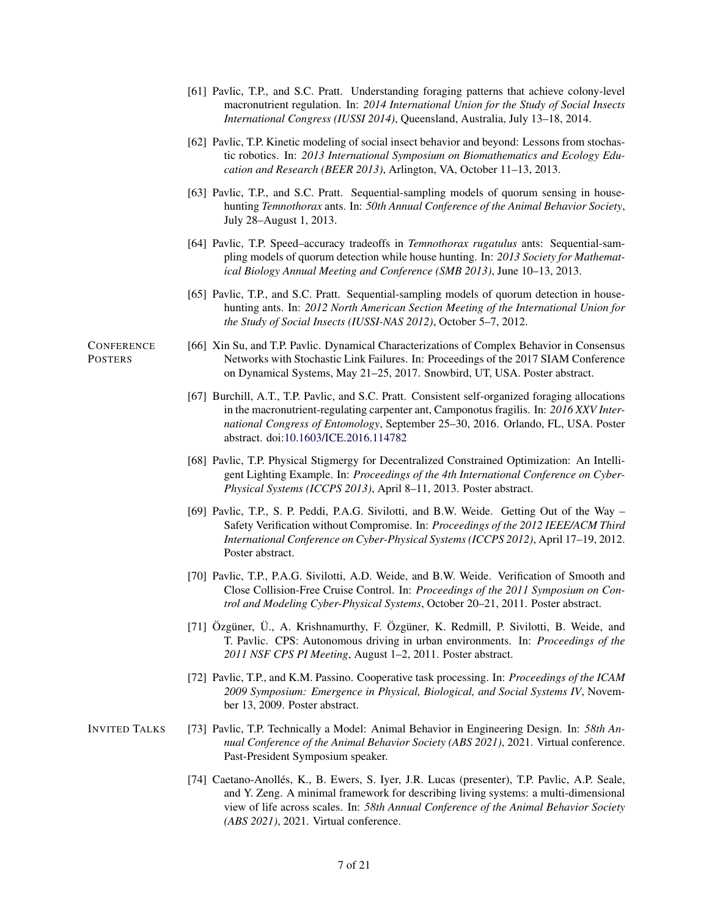- [61] Pavlic, T.P., and S.C. Pratt. Understanding foraging patterns that achieve colony-level macronutrient regulation. In: *2014 International Union for the Study of Social Insects International Congress (IUSSI 2014)*, Queensland, Australia, July 13–18, 2014.
- [62] Pavlic, T.P. Kinetic modeling of social insect behavior and beyond: Lessons from stochastic robotics. In: *2013 International Symposium on Biomathematics and Ecology Education and Research (BEER 2013)*, Arlington, VA, October 11–13, 2013.
- [63] Pavlic, T.P., and S.C. Pratt. Sequential-sampling models of quorum sensing in househunting *Temnothorax* ants. In: *50th Annual Conference of the Animal Behavior Society*, July 28–August 1, 2013.
- [64] Pavlic, T.P. Speed–accuracy tradeoffs in *Temnothorax rugatulus* ants: Sequential-sampling models of quorum detection while house hunting. In: *2013 Society for Mathematical Biology Annual Meeting and Conference (SMB 2013)*, June 10–13, 2013.
- [65] Pavlic, T.P., and S.C. Pratt. Sequential-sampling models of quorum detection in househunting ants. In: *2012 North American Section Meeting of the International Union for the Study of Social Insects (IUSSI-NAS 2012)*, October 5–7, 2012.
- [66] Xin Su, and T.P. Pavlic. Dynamical Characterizations of Complex Behavior in Consensus Networks with Stochastic Link Failures. In: Proceedings of the 2017 SIAM Conference on Dynamical Systems, May 21–25, 2017. Snowbird, UT, USA. Poster abstract.
	- [67] Burchill, A.T., T.P. Pavlic, and S.C. Pratt. Consistent self-organized foraging allocations in the macronutrient-regulating carpenter ant, Camponotus fragilis. In: *2016 XXV International Congress of Entomology*, September 25–30, 2016. Orlando, FL, USA. Poster abstract. doi[:10.1603/ICE.2016.114782](https://doi.org/10.1603/ICE.2016.114782)
	- [68] Pavlic, T.P. Physical Stigmergy for Decentralized Constrained Optimization: An Intelligent Lighting Example. In: *Proceedings of the 4th International Conference on Cyber-Physical Systems (ICCPS 2013)*, April 8–11, 2013. Poster abstract.
	- [69] Pavlic, T.P., S. P. Peddi, P.A.G. Sivilotti, and B.W. Weide. Getting Out of the Way Safety Verification without Compromise. In: *Proceedings of the 2012 IEEE/ACM Third International Conference on Cyber-Physical Systems (ICCPS 2012)*, April 17–19, 2012. Poster abstract.
	- [70] Pavlic, T.P., P.A.G. Sivilotti, A.D. Weide, and B.W. Weide. Verification of Smooth and Close Collision-Free Cruise Control. In: *Proceedings of the 2011 Symposium on Control and Modeling Cyber-Physical Systems*, October 20–21, 2011. Poster abstract.
	- [71] Özgüner, Ü., A. Krishnamurthy, F. Özgüner, K. Redmill, P. Sivilotti, B. Weide, and T. Pavlic. CPS: Autonomous driving in urban environments. In: *Proceedings of the 2011 NSF CPS PI Meeting*, August 1–2, 2011. Poster abstract.
	- [72] Pavlic, T.P., and K.M. Passino. Cooperative task processing. In: *Proceedings of the ICAM 2009 Symposium: Emergence in Physical, Biological, and Social Systems IV*, November 13, 2009. Poster abstract.
- INVITED TALKS [73] Pavlic, T.P. Technically a Model: Animal Behavior in Engineering Design. In: *58th Annual Conference of the Animal Behavior Society (ABS 2021)*, 2021. Virtual conference. Past-President Symposium speaker.
	- [74] Caetano-Anollés, K., B. Ewers, S. Iyer, J.R. Lucas (presenter), T.P. Pavlic, A.P. Seale, and Y. Zeng. A minimal framework for describing living systems: a multi-dimensional view of life across scales. In: *58th Annual Conference of the Animal Behavior Society (ABS 2021)*, 2021. Virtual conference.

#### **CONFERENCE POSTERS**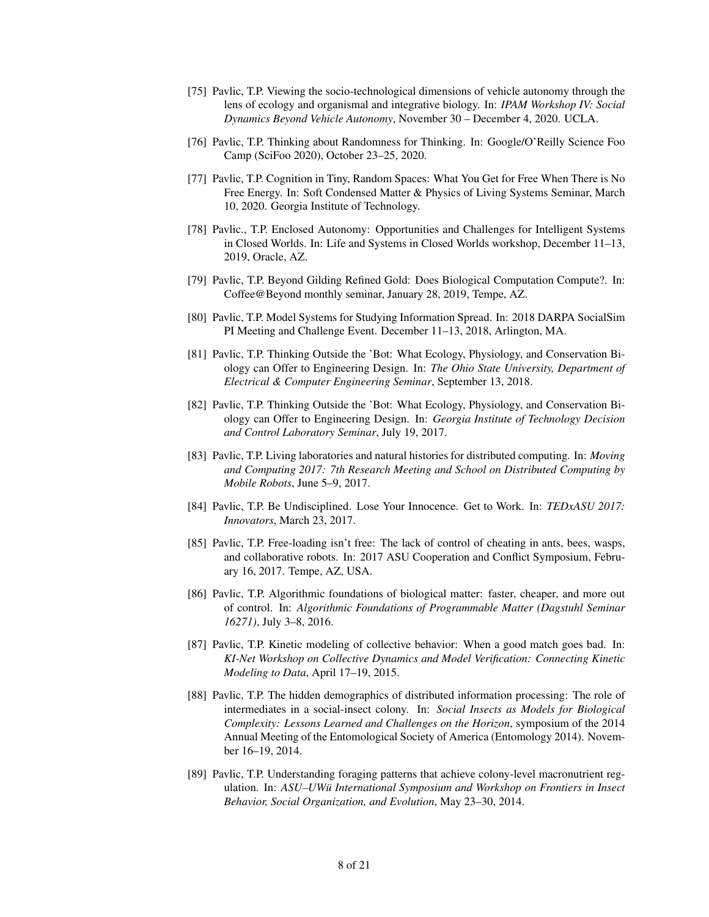- [75] Pavlic, T.P. Viewing the socio-technological dimensions of vehicle autonomy through the lens of ecology and organismal and integrative biology. In: *IPAM Workshop IV: Social Dynamics Beyond Vehicle Autonomy*, November 30 – December 4, 2020. UCLA.
- [76] Pavlic, T.P. Thinking about Randomness for Thinking. In: Google/O'Reilly Science Foo Camp (SciFoo 2020), October 23–25, 2020.
- [77] Pavlic, T.P. Cognition in Tiny, Random Spaces: What You Get for Free When There is No Free Energy. In: Soft Condensed Matter & Physics of Living Systems Seminar, March 10, 2020. Georgia Institute of Technology.
- [78] Pavlic., T.P. Enclosed Autonomy: Opportunities and Challenges for Intelligent Systems in Closed Worlds. In: Life and Systems in Closed Worlds workshop, December 11–13, 2019, Oracle, AZ.
- [79] Pavlic, T.P. Beyond Gilding Refined Gold: Does Biological Computation Compute?. In: Coffee@Beyond monthly seminar, January 28, 2019, Tempe, AZ.
- [80] Pavlic, T.P. Model Systems for Studying Information Spread. In: 2018 DARPA SocialSim PI Meeting and Challenge Event. December 11–13, 2018, Arlington, MA.
- [81] Pavlic, T.P. Thinking Outside the 'Bot: What Ecology, Physiology, and Conservation Biology can Offer to Engineering Design. In: *The Ohio State University, Department of Electrical & Computer Engineering Seminar*, September 13, 2018.
- [82] Pavlic, T.P. Thinking Outside the 'Bot: What Ecology, Physiology, and Conservation Biology can Offer to Engineering Design. In: *Georgia Institute of Technology Decision and Control Laboratory Seminar*, July 19, 2017.
- [83] Pavlic, T.P. Living laboratories and natural histories for distributed computing. In: *Moving and Computing 2017: 7th Research Meeting and School on Distributed Computing by Mobile Robots*, June 5–9, 2017.
- [84] Pavlic, T.P. Be Undisciplined. Lose Your Innocence. Get to Work. In: *TEDxASU 2017: Innovators*, March 23, 2017.
- [85] Pavlic, T.P. Free-loading isn't free: The lack of control of cheating in ants, bees, wasps, and collaborative robots. In: 2017 ASU Cooperation and Conflict Symposium, February 16, 2017. Tempe, AZ, USA.
- [86] Pavlic, T.P. Algorithmic foundations of biological matter: faster, cheaper, and more out of control. In: *Algorithmic Foundations of Programmable Matter (Dagstuhl Seminar 16271)*, July 3–8, 2016.
- [87] Pavlic, T.P. Kinetic modeling of collective behavior: When a good match goes bad. In: *KI-Net Workshop on Collective Dynamics and Model Verification: Connecting Kinetic Modeling to Data*, April 17–19, 2015.
- [88] Pavlic, T.P. The hidden demographics of distributed information processing: The role of intermediates in a social-insect colony. In: *Social Insects as Models for Biological Complexity: Lessons Learned and Challenges on the Horizon*, symposium of the 2014 Annual Meeting of the Entomological Society of America (Entomology 2014). November 16–19, 2014.
- [89] Pavlic, T.P. Understanding foraging patterns that achieve colony-level macronutrient regulation. In: *ASU–UWü International Symposium and Workshop on Frontiers in Insect Behavior, Social Organization, and Evolution*, May 23–30, 2014.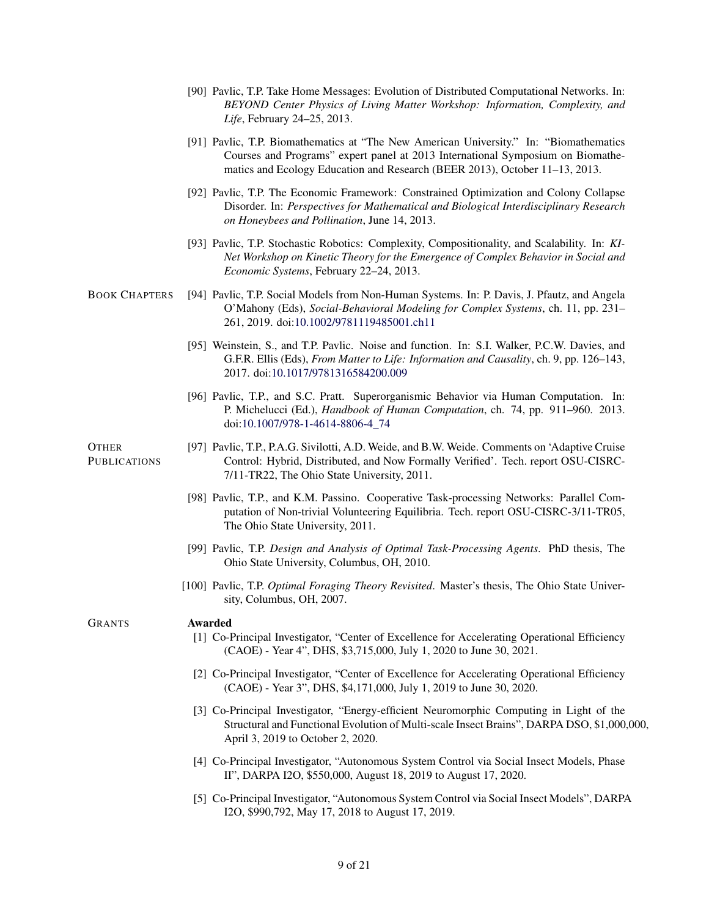- [90] Pavlic, T.P. Take Home Messages: Evolution of Distributed Computational Networks. In: *BEYOND Center Physics of Living Matter Workshop: Information, Complexity, and Life*, February 24–25, 2013.
- [91] Pavlic, T.P. Biomathematics at "The New American University." In: "Biomathematics Courses and Programs" expert panel at 2013 International Symposium on Biomathematics and Ecology Education and Research (BEER 2013), October 11–13, 2013.
- [92] Pavlic, T.P. The Economic Framework: Constrained Optimization and Colony Collapse Disorder. In: *Perspectives for Mathematical and Biological Interdisciplinary Research on Honeybees and Pollination*, June 14, 2013.
- [93] Pavlic, T.P. Stochastic Robotics: Complexity, Compositionality, and Scalability. In: *KI-Net Workshop on Kinetic Theory for the Emergence of Complex Behavior in Social and Economic Systems*, February 22–24, 2013.
- BOOK CHAPTERS [94] Pavlic, T.P. Social Models from Non-Human Systems. In: P. Davis, J. Pfautz, and Angela O'Mahony (Eds), *Social-Behavioral Modeling for Complex Systems*, ch. 11, pp. 231– 261, 2019. doi[:10.1002/9781119485001.ch11](https://doi.org/10.1002/9781119485001.ch11)
	- [95] Weinstein, S., and T.P. Pavlic. Noise and function. In: S.I. Walker, P.C.W. Davies, and G.F.R. Ellis (Eds), *From Matter to Life: Information and Causality*, ch. 9, pp. 126–143, 2017. doi[:10.1017/9781316584200.009](https://doi.org/10.1017/9781316584200.009)
	- [96] Pavlic, T.P., and S.C. Pratt. Superorganismic Behavior via Human Computation. In: P. Michelucci (Ed.), *Handbook of Human Computation*, ch. 74, pp. 911–960. 2013. doi[:10.1007/978-1-4614-8806-4\\_74](https://doi.org/10.1007/978-1-4614-8806-4_74)

**OTHER PUBLICATIONS** 

- [97] Pavlic, T.P., P.A.G. Sivilotti, A.D. Weide, and B.W. Weide. Comments on 'Adaptive Cruise Control: Hybrid, Distributed, and Now Formally Verified'. Tech. report OSU-CISRC-7/11-TR22, The Ohio State University, 2011.
- [98] Pavlic, T.P., and K.M. Passino. Cooperative Task-processing Networks: Parallel Computation of Non-trivial Volunteering Equilibria. Tech. report OSU-CISRC-3/11-TR05, The Ohio State University, 2011.
- [99] Pavlic, T.P. *Design and Analysis of Optimal Task-Processing Agents*. PhD thesis, The Ohio State University, Columbus, OH, 2010.
- [100] Pavlic, T.P. *Optimal Foraging Theory Revisited*. Master's thesis, The Ohio State University, Columbus, OH, 2007.

#### GRANTS Awarded

- [1] Co-Principal Investigator, "Center of Excellence for Accelerating Operational Efficiency (CAOE) - Year 4", DHS, \$3,715,000, July 1, 2020 to June 30, 2021.
- [2] Co-Principal Investigator, "Center of Excellence for Accelerating Operational Efficiency (CAOE) - Year 3", DHS, \$4,171,000, July 1, 2019 to June 30, 2020.
- [3] Co-Principal Investigator, "Energy-efficient Neuromorphic Computing in Light of the Structural and Functional Evolution of Multi-scale Insect Brains", DARPA DSO, \$1,000,000, April 3, 2019 to October 2, 2020.
- [4] Co-Principal Investigator, "Autonomous System Control via Social Insect Models, Phase II", DARPA I2O, \$550,000, August 18, 2019 to August 17, 2020.
- [5] Co-Principal Investigator, "Autonomous System Control via Social Insect Models", DARPA I2O, \$990,792, May 17, 2018 to August 17, 2019.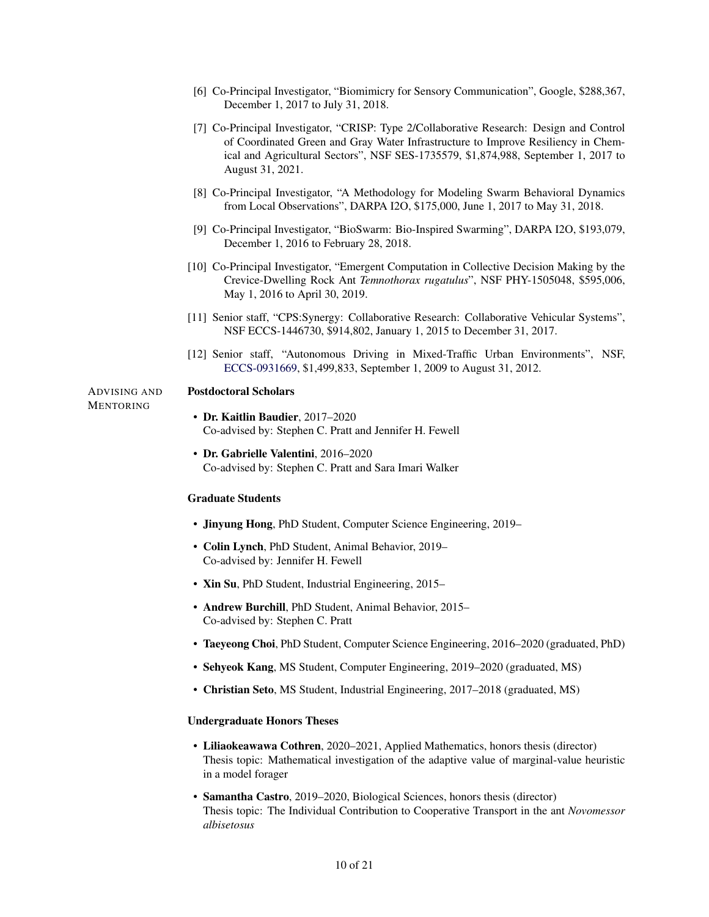- [6] Co-Principal Investigator, "Biomimicry for Sensory Communication", Google, \$288,367, December 1, 2017 to July 31, 2018.
- [7] Co-Principal Investigator, "CRISP: Type 2/Collaborative Research: Design and Control of Coordinated Green and Gray Water Infrastructure to Improve Resiliency in Chemical and Agricultural Sectors", NSF SES-1735579, \$1,874,988, September 1, 2017 to August 31, 2021.
- [8] Co-Principal Investigator, "A Methodology for Modeling Swarm Behavioral Dynamics from Local Observations", DARPA I2O, \$175,000, June 1, 2017 to May 31, 2018.
- [9] Co-Principal Investigator, "BioSwarm: Bio-Inspired Swarming", DARPA I2O, \$193,079, December 1, 2016 to February 28, 2018.
- [10] Co-Principal Investigator, "Emergent Computation in Collective Decision Making by the Crevice-Dwelling Rock Ant *Temnothorax rugatulus*", NSF PHY-1505048, \$595,006, May 1, 2016 to April 30, 2019.
- [11] Senior staff, "CPS:Synergy: Collaborative Research: Collaborative Vehicular Systems", NSF ECCS-1446730, \$914,802, January 1, 2015 to December 31, 2017.
- [12] Senior staff, "Autonomous Driving in Mixed-Traffic Urban Environments", NSF, [ECCS-0931669,](http://www.nsf.gov/awardsearch/showAward.do?AwardNumber=0931669) \$1,499,833, September 1, 2009 to August 31, 2012.

#### ADVISING AND Postdoctoral Scholars

MENTORING

- Dr. Kaitlin Baudier, 2017–2020 Co-advised by: Stephen C. Pratt and Jennifer H. Fewell
- Dr. Gabrielle Valentini, 2016–2020 Co-advised by: Stephen C. Pratt and Sara Imari Walker

#### Graduate Students

- Jinyung Hong, PhD Student, Computer Science Engineering, 2019–
- Colin Lynch, PhD Student, Animal Behavior, 2019– Co-advised by: Jennifer H. Fewell
- Xin Su, PhD Student, Industrial Engineering, 2015–
- Andrew Burchill, PhD Student, Animal Behavior, 2015– Co-advised by: Stephen C. Pratt
- Taeyeong Choi, PhD Student, Computer Science Engineering, 2016–2020 (graduated, PhD)
- Sehyeok Kang, MS Student, Computer Engineering, 2019–2020 (graduated, MS)
- Christian Seto, MS Student, Industrial Engineering, 2017–2018 (graduated, MS)

#### Undergraduate Honors Theses

- Liliaokeawawa Cothren, 2020–2021, Applied Mathematics, honors thesis (director) Thesis topic: Mathematical investigation of the adaptive value of marginal-value heuristic in a model forager
- Samantha Castro, 2019–2020, Biological Sciences, honors thesis (director) Thesis topic: The Individual Contribution to Cooperative Transport in the ant *Novomessor albisetosus*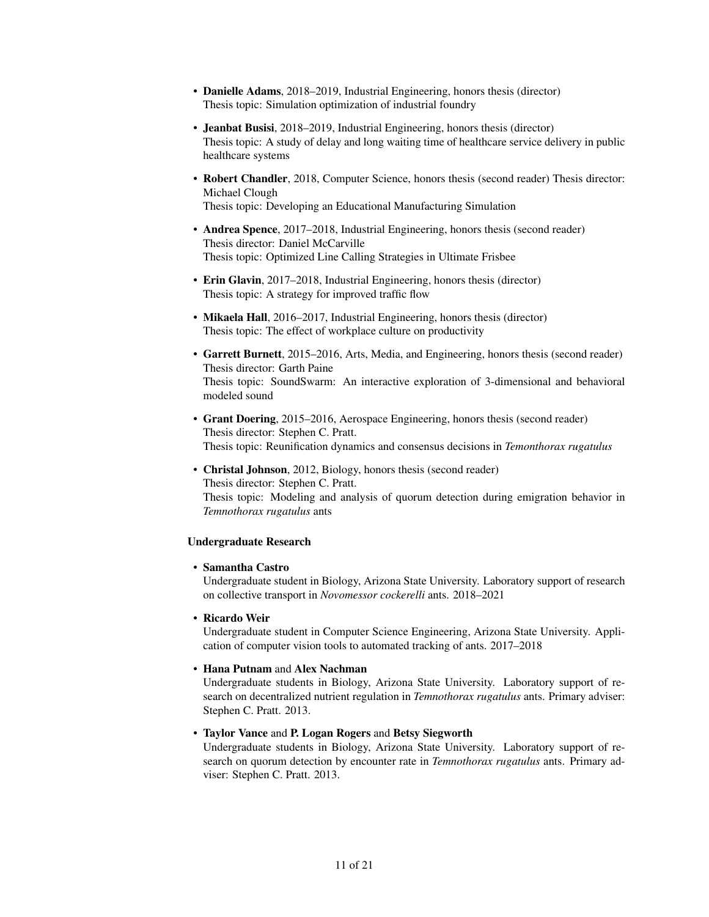- Danielle Adams, 2018–2019, Industrial Engineering, honors thesis (director) Thesis topic: Simulation optimization of industrial foundry
- Jeanbat Busisi, 2018–2019, Industrial Engineering, honors thesis (director) Thesis topic: A study of delay and long waiting time of healthcare service delivery in public healthcare systems
- Robert Chandler, 2018, Computer Science, honors thesis (second reader) Thesis director: Michael Clough

Thesis topic: Developing an Educational Manufacturing Simulation

- Andrea Spence, 2017–2018, Industrial Engineering, honors thesis (second reader) Thesis director: Daniel McCarville Thesis topic: Optimized Line Calling Strategies in Ultimate Frisbee
- Erin Glavin, 2017–2018, Industrial Engineering, honors thesis (director) Thesis topic: A strategy for improved traffic flow
- Mikaela Hall, 2016–2017, Industrial Engineering, honors thesis (director) Thesis topic: The effect of workplace culture on productivity
- Garrett Burnett, 2015–2016, Arts, Media, and Engineering, honors thesis (second reader) Thesis director: Garth Paine Thesis topic: SoundSwarm: An interactive exploration of 3-dimensional and behavioral modeled sound
- Grant Doering, 2015–2016, Aerospace Engineering, honors thesis (second reader) Thesis director: Stephen C. Pratt. Thesis topic: Reunification dynamics and consensus decisions in *Temonthorax rugatulus*
- Christal Johnson, 2012, Biology, honors thesis (second reader) Thesis director: Stephen C. Pratt. Thesis topic: Modeling and analysis of quorum detection during emigration behavior in *Temnothorax rugatulus* ants

### Undergraduate Research

#### • Samantha Castro

Undergraduate student in Biology, Arizona State University. Laboratory support of research on collective transport in *Novomessor cockerelli* ants. 2018–2021

• Ricardo Weir

Undergraduate student in Computer Science Engineering, Arizona State University. Application of computer vision tools to automated tracking of ants. 2017–2018

#### • Hana Putnam and Alex Nachman

Undergraduate students in Biology, Arizona State University. Laboratory support of research on decentralized nutrient regulation in *Temnothorax rugatulus* ants. Primary adviser: Stephen C. Pratt. 2013.

#### • Taylor Vance and P. Logan Rogers and Betsy Siegworth

Undergraduate students in Biology, Arizona State University. Laboratory support of research on quorum detection by encounter rate in *Temnothorax rugatulus* ants. Primary adviser: Stephen C. Pratt. 2013.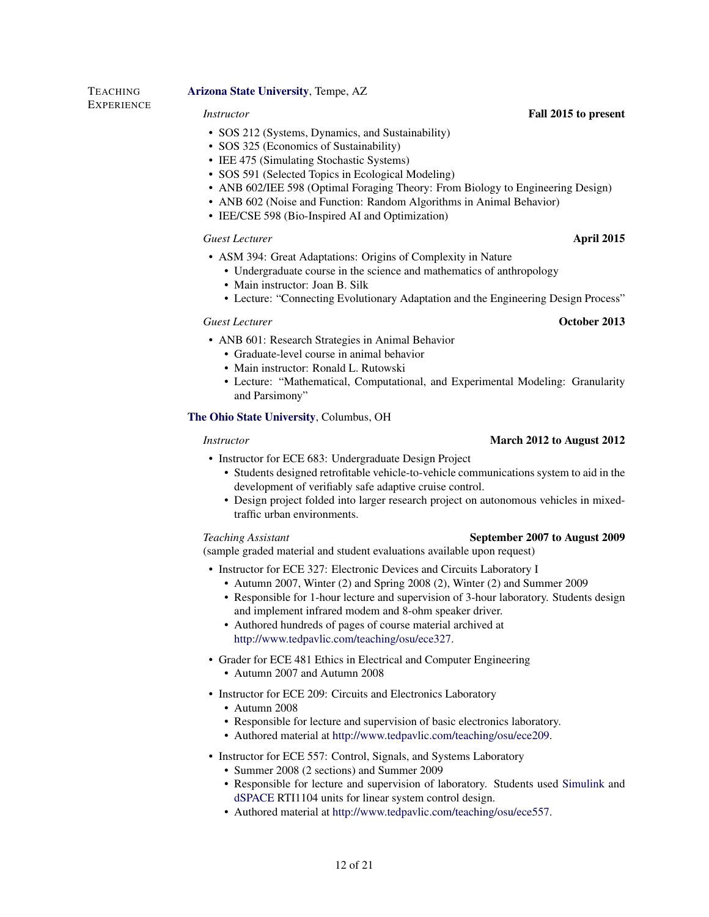### [Arizona State University](http://www.asu.edu/), Tempe, AZ

**TEACHING EXPERIENCE** 

- SOS 212 (Systems, Dynamics, and Sustainability)
- SOS 325 (Economics of Sustainability)
- IEE 475 (Simulating Stochastic Systems)
- SOS 591 (Selected Topics in Ecological Modeling)
- ANB 602/IEE 598 (Optimal Foraging Theory: From Biology to Engineering Design)
- ANB 602 (Noise and Function: Random Algorithms in Animal Behavior)
- IEE/CSE 598 (Bio-Inspired AI and Optimization)

#### *Guest Lecturer* April 2015

- ASM 394: Great Adaptations: Origins of Complexity in Nature
	- Undergraduate course in the science and mathematics of anthropology
	- Main instructor: Joan B. Silk
	- Lecture: "Connecting Evolutionary Adaptation and the Engineering Design Process"

### *Guest Lecturer* October 2013

- ANB 601: Research Strategies in Animal Behavior
	- Graduate-level course in animal behavior
	- Main instructor: Ronald L. Rutowski
	- Lecture: "Mathematical, Computational, and Experimental Modeling: Granularity and Parsimony"

### [The Ohio State University](http://www.osu.edu/), Columbus, OH

- Instructor for ECE 683: Undergraduate Design Project
	- Students designed retrofitable vehicle-to-vehicle communications system to aid in the development of verifiably safe adaptive cruise control.
	- Design project folded into larger research project on autonomous vehicles in mixedtraffic urban environments.

#### *Teaching Assistant* September 2007 to August 2009

## (sample graded material and student evaluations available upon request)

- Instructor for ECE 327: Electronic Devices and Circuits Laboratory I
	- Autumn 2007, Winter (2) and Spring 2008 (2), Winter (2) and Summer 2009
	- Responsible for 1-hour lecture and supervision of 3-hour laboratory. Students design and implement infrared modem and 8-ohm speaker driver.
	- Authored hundreds of pages of course material archived at [http://www.tedpavlic.com/teaching/osu/ece327.](http://www.tedpavlic.com/teaching/osu/ece327)
- Grader for ECE 481 Ethics in Electrical and Computer Engineering
	- Autumn 2007 and Autumn 2008
- Instructor for ECE 209: Circuits and Electronics Laboratory
	- Autumn 2008
	- Responsible for lecture and supervision of basic electronics laboratory.
	- Authored material at [http://www.tedpavlic.com/teaching/osu/ece209.](http://www.tedpavlic.com/teaching/osu/ece209)
- Instructor for ECE 557: Control, Signals, and Systems Laboratory
	- Summer 2008 (2 sections) and Summer 2009
	- Responsible for lecture and supervision of laboratory. Students used [Simulink](http://www.mathworks.com/products/simulink/) and [dSPACE](http://www.dspaceinc.com/) RTI1104 units for linear system control design.
	- Authored material at [http://www.tedpavlic.com/teaching/osu/ece557.](http://www.tedpavlic.com/teaching/osu/ece557)

### *Instructor* March 2012 to August 2012

### *Instructor* Fall 2015 to present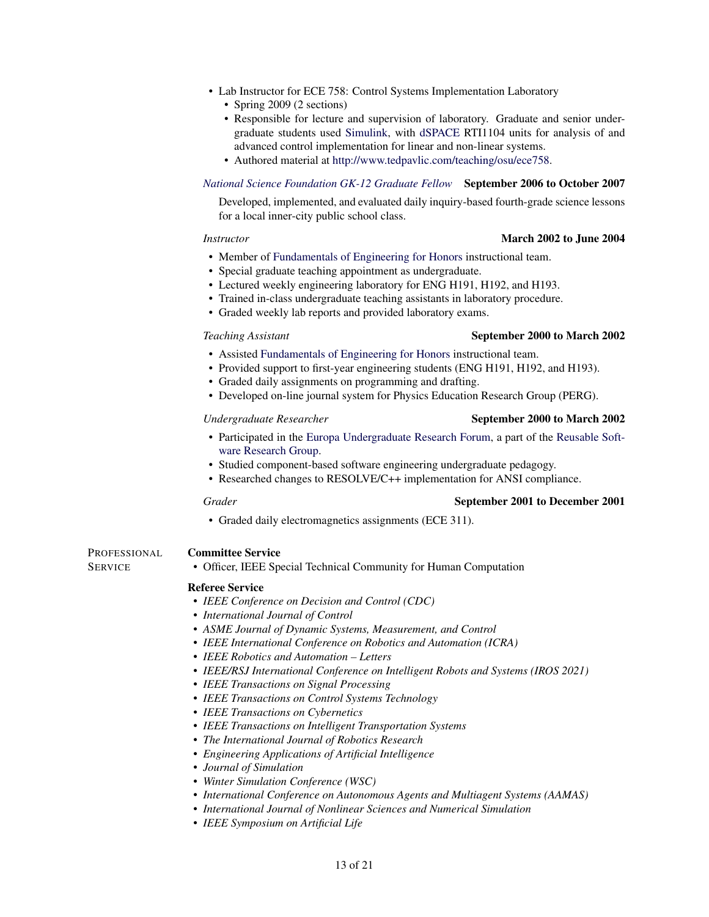- Lab Instructor for ECE 758: Control Systems Implementation Laboratory
	- Spring 2009 (2 sections)
	- Responsible for lecture and supervision of laboratory. Graduate and senior undergraduate students used [Simulink,](http://www.mathworks.com/products/simulink/) with [dSPACE](http://www.dspaceinc.com/) RTI1104 units for analysis of and advanced control implementation for linear and non-linear systems.
	- Authored material at [http://www.tedpavlic.com/teaching/osu/ece758.](http://www.tedpavlic.com/teaching/osu/ece758)

#### *[National Science Foundation GK-12 Graduate Fellow](http://www.nsfgk12.org/)* September 2006 to October 2007

Developed, implemented, and evaluated daily inquiry-based fourth-grade science lessons for a local inner-city public school class.

#### *Instructor* March 2002 to June 2004

- Member of [Fundamentals of Engineering for Honors](http://feh.eng.ohio-state.edu/) instructional team.
- Special graduate teaching appointment as undergraduate.
- Lectured weekly engineering laboratory for ENG H191, H192, and H193.
- Trained in-class undergraduate teaching assistants in laboratory procedure.
- Graded weekly lab reports and provided laboratory exams.

### *Teaching Assistant* September 2000 to March 2002

- Assisted [Fundamentals of Engineering for Honors](http://feh.eng.ohio-state.edu/) instructional team.
- Provided support to first-year engineering students (ENG H191, H192, and H193).
- Graded daily assignments on programming and drafting.
- Developed on-line journal system for Physics Education Research Group (PERG).

### *Undergraduate Researcher* September 2000 to March 2002

- Participated in the [Europa Undergraduate Research Forum,](http://www.cse.ohio-state.edu/europa/) a part of the [Reusable Soft](http://www.cse.ohio-state.edu/rsrg/)[ware Research Group.](http://www.cse.ohio-state.edu/rsrg/)
- Studied component-based software engineering undergraduate pedagogy.
- Researched changes to RESOLVE/C++ implementation for ANSI compliance.

#### **Grader** September 2001 to December 2001

• Graded daily electromagnetics assignments (ECE 311).

#### PROFESSIONAL Committee Service

**SERVICE** 

• Officer, IEEE Special Technical Community for Human Computation

#### Referee Service

- *IEEE Conference on Decision and Control (CDC)*
- *International Journal of Control*
- *ASME Journal of Dynamic Systems, Measurement, and Control*
- *IEEE International Conference on Robotics and Automation (ICRA)*
- *IEEE Robotics and Automation Letters*
- *IEEE/RSJ International Conference on Intelligent Robots and Systems (IROS 2021)*
- *IEEE Transactions on Signal Processing*
- *IEEE Transactions on Control Systems Technology*
- *IEEE Transactions on Cybernetics*
- *IEEE Transactions on Intelligent Transportation Systems*
- *The International Journal of Robotics Research*
- *Engineering Applications of Artificial Intelligence*
- *Journal of Simulation*
- *Winter Simulation Conference (WSC)*
- *International Conference on Autonomous Agents and Multiagent Systems (AAMAS)*
- *International Journal of Nonlinear Sciences and Numerical Simulation*
- *IEEE Symposium on Artificial Life*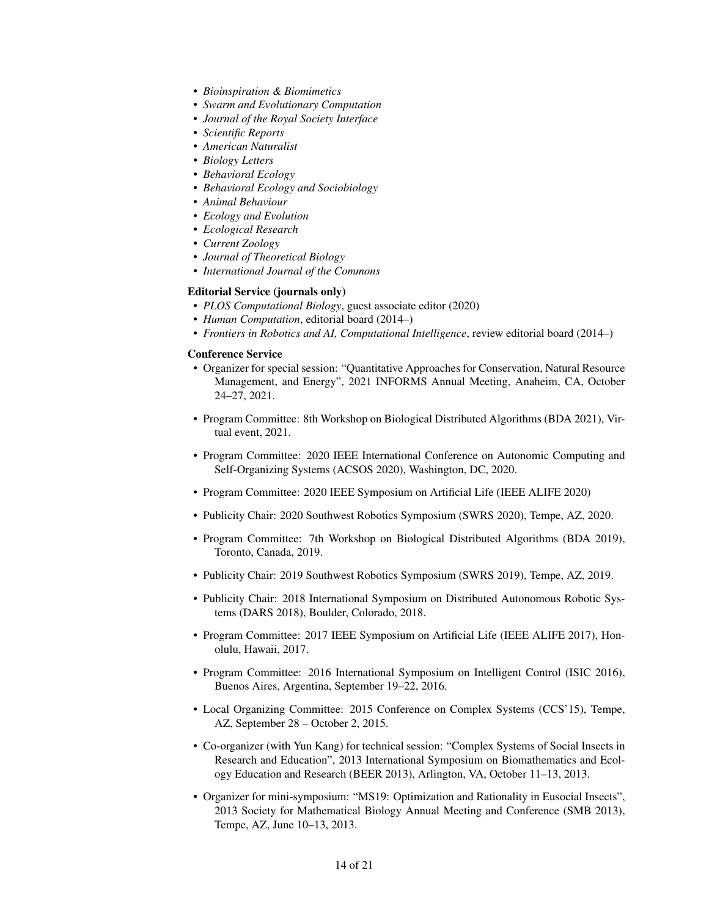- *Bioinspiration & Biomimetics*
- *Swarm and Evolutionary Computation*
- *Journal of the Royal Society Interface*
- *Scientific Reports*
- *American Naturalist*
- *Biology Letters*
- *Behavioral Ecology*
- *Behavioral Ecology and Sociobiology*
- *Animal Behaviour*
- *Ecology and Evolution*
- *Ecological Research*
- *Current Zoology*
- *Journal of Theoretical Biology*
- *International Journal of the Commons*

#### Editorial Service (journals only)

- *PLOS Computational Biology*, guest associate editor (2020)
- *Human Computation*, editorial board (2014–)
- *Frontiers in Robotics and AI, Computational Intelligence*, review editorial board (2014–)

#### Conference Service

- Organizer for special session: "Quantitative Approaches for Conservation, Natural Resource Management, and Energy", 2021 INFORMS Annual Meeting, Anaheim, CA, October 24–27, 2021.
- Program Committee: 8th Workshop on Biological Distributed Algorithms (BDA 2021), Virtual event, 2021.
- Program Committee: 2020 IEEE International Conference on Autonomic Computing and Self-Organizing Systems (ACSOS 2020), Washington, DC, 2020.
- Program Committee: 2020 IEEE Symposium on Artificial Life (IEEE ALIFE 2020)
- Publicity Chair: 2020 Southwest Robotics Symposium (SWRS 2020), Tempe, AZ, 2020.
- Program Committee: 7th Workshop on Biological Distributed Algorithms (BDA 2019), Toronto, Canada, 2019.
- Publicity Chair: 2019 Southwest Robotics Symposium (SWRS 2019), Tempe, AZ, 2019.
- Publicity Chair: 2018 International Symposium on Distributed Autonomous Robotic Systems (DARS 2018), Boulder, Colorado, 2018.
- Program Committee: 2017 IEEE Symposium on Artificial Life (IEEE ALIFE 2017), Honolulu, Hawaii, 2017.
- Program Committee: 2016 International Symposium on Intelligent Control (ISIC 2016), Buenos Aires, Argentina, September 19–22, 2016.
- Local Organizing Committee: 2015 Conference on Complex Systems (CCS'15), Tempe, AZ, September 28 – October 2, 2015.
- Co-organizer (with Yun Kang) for technical session: "Complex Systems of Social Insects in Research and Education", 2013 International Symposium on Biomathematics and Ecology Education and Research (BEER 2013), Arlington, VA, October 11–13, 2013.
- Organizer for mini-symposium: "MS19: Optimization and Rationality in Eusocial Insects", 2013 Society for Mathematical Biology Annual Meeting and Conference (SMB 2013), Tempe, AZ, June 10–13, 2013.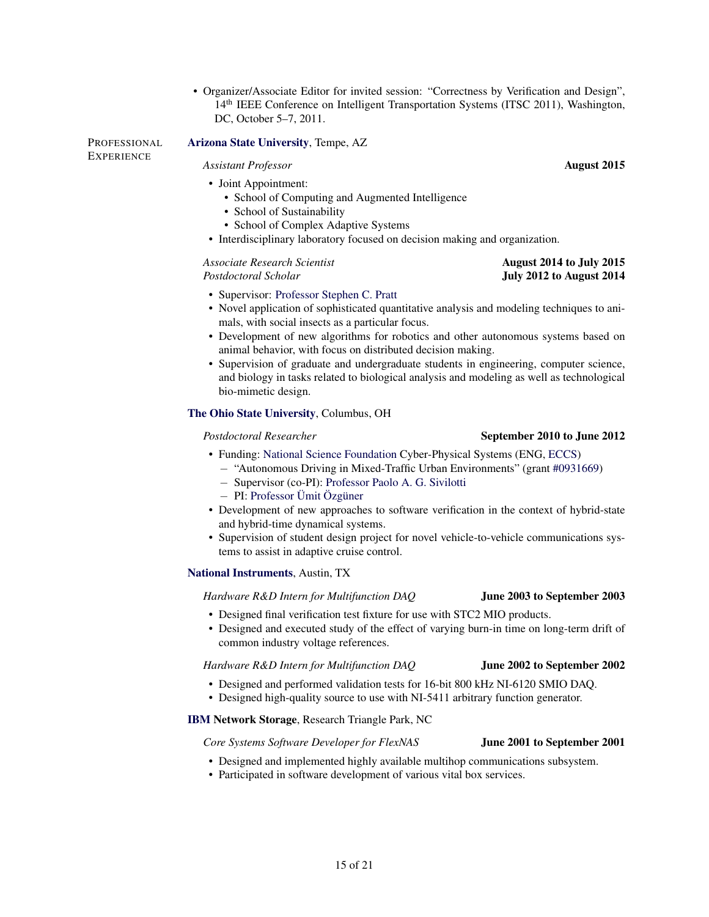• Organizer/Associate Editor for invited session: "Correctness by Verification and Design", 14th IEEE Conference on Intelligent Transportation Systems (ITSC 2011), Washington, DC, October 5–7, 2011.

PROFESSIONAL **EXPERIENCE** [Arizona State University](http://www.asu.edu/), Tempe, AZ

## *Assistant Professor* August 2015

- Joint Appointment:
	- School of Computing and Augmented Intelligence
	- School of Sustainability
	- School of Complex Adaptive Systems
- Interdisciplinary laboratory focused on decision making and organization.

#### *Associate Research Scientist* August 2014 to July 2015 **Postdoctoral Scholar July 2012 to August 2014**

#### • Supervisor: [Professor Stephen C. Pratt](http://www.public.asu.edu/~spratt1/)

- Novel application of sophisticated quantitative analysis and modeling techniques to animals, with social insects as a particular focus.
- Development of new algorithms for robotics and other autonomous systems based on animal behavior, with focus on distributed decision making.
- Supervision of graduate and undergraduate students in engineering, computer science, and biology in tasks related to biological analysis and modeling as well as technological bio-mimetic design.

### [The Ohio State University](http://www.osu.edu/), Columbus, OH

#### **Postdoctoral Researcher** September 2010 to June 2012

- Funding: [National Science Foundation](http://www.nfs.gov/) Cyber-Physical Systems (ENG, [ECCS\)](http://www.nsf.gov/div/index.jsp?div=eccs)
	- − "Autonomous Driving in Mixed-Traffic Urban Environments" (grant [#0931669\)](http://www.nsf.gov/awardsearch/showAward.do?AwardNumber=0931669)
	- − Supervisor (co-PI): [Professor Paolo A. G. Sivilotti](http://www.cse.ohio-state.edu/~paolo/)
	- − PI: [Professor Ümit Özgüner](http://www.ece.ohio-state.edu/~umit/)
- Development of new approaches to software verification in the context of hybrid-state and hybrid-time dynamical systems.
- Supervision of student design project for novel vehicle-to-vehicle communications systems to assist in adaptive cruise control.

### [National Instruments](http://www.ni.com/), Austin, TX

#### *Hardware R&D Intern for Multifunction DAQ* June 2003 to September 2003

- Designed final verification test fixture for use with STC2 MIO products.
- Designed and executed study of the effect of varying burn-in time on long-term drift of common industry voltage references.

#### *Hardware R&D Intern for Multifunction DAQ* June 2002 to September 2002

- Designed and performed validation tests for 16-bit 800 kHz NI-6120 SMIO DAQ.
- Designed high-quality source to use with NI-5411 arbitrary function generator.

### [IBM](http://www.ibm.com/) Network Storage, Research Triangle Park, NC

#### *Core Systems Software Developer for FlexNAS* June 2001 to September 2001

### • Designed and implemented highly available multihop communications subsystem.

• Participated in software development of various vital box services.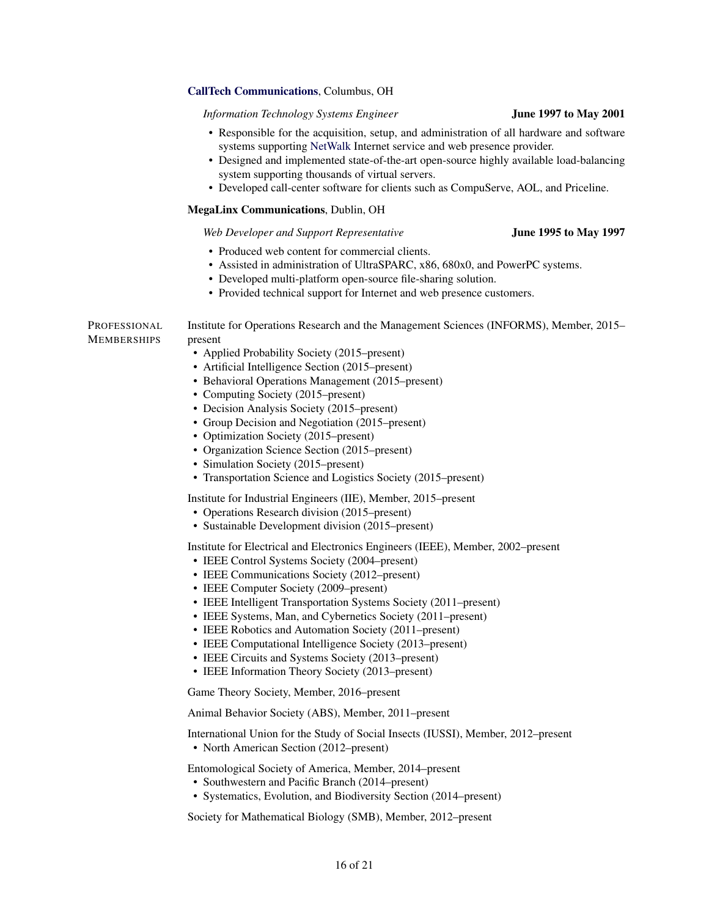#### [CallTech Communications](http://www.calltech.com/), Columbus, OH

*Information Technology Systems Engineer* June 1997 to May 2001

| • Responsible for the acquisition, setup, and administration of all hardware and software |  |
|-------------------------------------------------------------------------------------------|--|
| systems supporting NetWalk Internet service and web presence provider.                    |  |

- Designed and implemented state-of-the-art open-source highly available load-balancing system supporting thousands of virtual servers.
- Developed call-center software for clients such as CompuServe, AOL, and Priceline.

#### MegaLinx Communications, Dublin, OH

#### *Web Developer and Support Representative* June 1995 to May 1997

- Produced web content for commercial clients.
- Assisted in administration of UltraSPARC, x86, 680x0, and PowerPC systems.
- Developed multi-platform open-source file-sharing solution.
- Provided technical support for Internet and web presence customers.

PROFESSIONAL MEMBERSHIPS Institute for Operations Research and the Management Sciences (INFORMS), Member, 2015– present • Applied Probability Society (2015–present) • Artificial Intelligence Section (2015–present) • Behavioral Operations Management (2015–present) • Computing Society (2015–present) • Decision Analysis Society (2015–present) • Group Decision and Negotiation (2015–present) • Optimization Society (2015–present) • Organization Science Section (2015–present) • Simulation Society (2015–present) • Transportation Science and Logistics Society (2015–present) Institute for Industrial Engineers (IIE), Member, 2015–present • Operations Research division (2015–present) • Sustainable Development division (2015–present) Institute for Electrical and Electronics Engineers (IEEE), Member, 2002–present • IEEE Control Systems Society (2004–present) • IEEE Communications Society (2012–present) • IEEE Computer Society (2009–present) • IEEE Intelligent Transportation Systems Society (2011–present) • IEEE Systems, Man, and Cybernetics Society (2011–present) • IEEE Robotics and Automation Society (2011–present) • IEEE Computational Intelligence Society (2013–present) • IEEE Circuits and Systems Society (2013–present) • IEEE Information Theory Society (2013–present) Game Theory Society, Member, 2016–present Animal Behavior Society (ABS), Member, 2011–present International Union for the Study of Social Insects (IUSSI), Member, 2012–present • North American Section (2012–present) Entomological Society of America, Member, 2014–present • Southwestern and Pacific Branch (2014–present) • Systematics, Evolution, and Biodiversity Section (2014–present) Society for Mathematical Biology (SMB), Member, 2012–present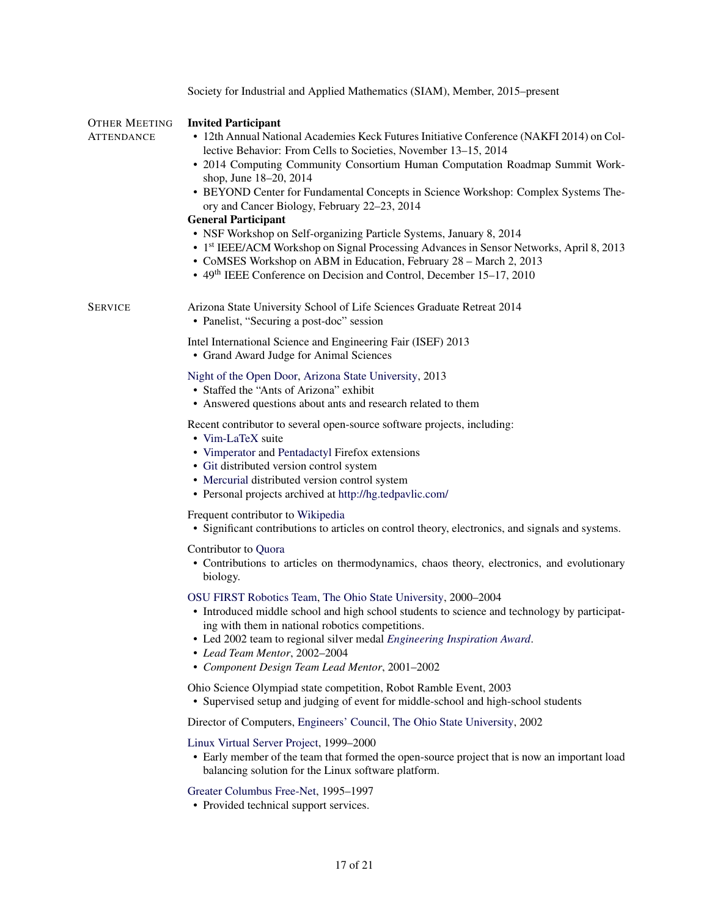|                             | Society for Industrial and Applied Mathematics (SIAM), Member, 2015–present                                                                                                                                                                                                                                                                                                                                                                                                                                                                                                                                                                                                                                                                                                                                     |
|-----------------------------|-----------------------------------------------------------------------------------------------------------------------------------------------------------------------------------------------------------------------------------------------------------------------------------------------------------------------------------------------------------------------------------------------------------------------------------------------------------------------------------------------------------------------------------------------------------------------------------------------------------------------------------------------------------------------------------------------------------------------------------------------------------------------------------------------------------------|
| OTHER MEETING<br>ATTENDANCE | <b>Invited Participant</b><br>• 12th Annual National Academies Keck Futures Initiative Conference (NAKFI 2014) on Col-<br>lective Behavior: From Cells to Societies, November 13-15, 2014<br>• 2014 Computing Community Consortium Human Computation Roadmap Summit Work-<br>shop, June 18-20, 2014<br>• BEYOND Center for Fundamental Concepts in Science Workshop: Complex Systems The-<br>ory and Cancer Biology, February 22-23, 2014<br><b>General Participant</b><br>• NSF Workshop on Self-organizing Particle Systems, January 8, 2014<br>• 1 <sup>st</sup> IEEE/ACM Workshop on Signal Processing Advances in Sensor Networks, April 8, 2013<br>• CoMSES Workshop on ABM in Education, February 28 - March 2, 2013<br>• 49 <sup>th</sup> IEEE Conference on Decision and Control, December 15–17, 2010 |
| <b>SERVICE</b>              | Arizona State University School of Life Sciences Graduate Retreat 2014<br>• Panelist, "Securing a post-doc" session                                                                                                                                                                                                                                                                                                                                                                                                                                                                                                                                                                                                                                                                                             |
|                             | Intel International Science and Engineering Fair (ISEF) 2013<br>• Grand Award Judge for Animal Sciences                                                                                                                                                                                                                                                                                                                                                                                                                                                                                                                                                                                                                                                                                                         |
|                             | Night of the Open Door, Arizona State University, 2013<br>• Staffed the "Ants of Arizona" exhibit<br>• Answered questions about ants and research related to them                                                                                                                                                                                                                                                                                                                                                                                                                                                                                                                                                                                                                                               |
|                             | Recent contributor to several open-source software projects, including:<br>• Vim-LaTeX suite<br>• Vimperator and Pentadactyl Firefox extensions<br>• Git distributed version control system<br>• Mercurial distributed version control system<br>• Personal projects archived at http://hg.tedpavlic.com/                                                                                                                                                                                                                                                                                                                                                                                                                                                                                                       |
|                             | Frequent contributor to Wikipedia<br>• Significant contributions to articles on control theory, electronics, and signals and systems.                                                                                                                                                                                                                                                                                                                                                                                                                                                                                                                                                                                                                                                                           |
|                             | Contributor to Quora<br>• Contributions to articles on thermodynamics, chaos theory, electronics, and evolutionary<br>biology.                                                                                                                                                                                                                                                                                                                                                                                                                                                                                                                                                                                                                                                                                  |
|                             | OSU FIRST Robotics Team, The Ohio State University, 2000-2004<br>• Introduced middle school and high school students to science and technology by participat-<br>ing with them in national robotics competitions.<br>• Led 2002 team to regional silver medal Engineering Inspiration Award.<br>• Lead Team Mentor, 2002-2004<br>• Component Design Team Lead Mentor, 2001-2002                                                                                                                                                                                                                                                                                                                                                                                                                                 |
|                             | Ohio Science Olympiad state competition, Robot Ramble Event, 2003<br>• Supervised setup and judging of event for middle-school and high-school students                                                                                                                                                                                                                                                                                                                                                                                                                                                                                                                                                                                                                                                         |
|                             | Director of Computers, Engineers' Council, The Ohio State University, 2002                                                                                                                                                                                                                                                                                                                                                                                                                                                                                                                                                                                                                                                                                                                                      |
|                             | Linux Virtual Server Project, 1999-2000<br>• Early member of the team that formed the open-source project that is now an important load<br>balancing solution for the Linux software platform.                                                                                                                                                                                                                                                                                                                                                                                                                                                                                                                                                                                                                  |
|                             | Greater Columbus Free-Net, 1995-1997<br>• Provided technical support services.                                                                                                                                                                                                                                                                                                                                                                                                                                                                                                                                                                                                                                                                                                                                  |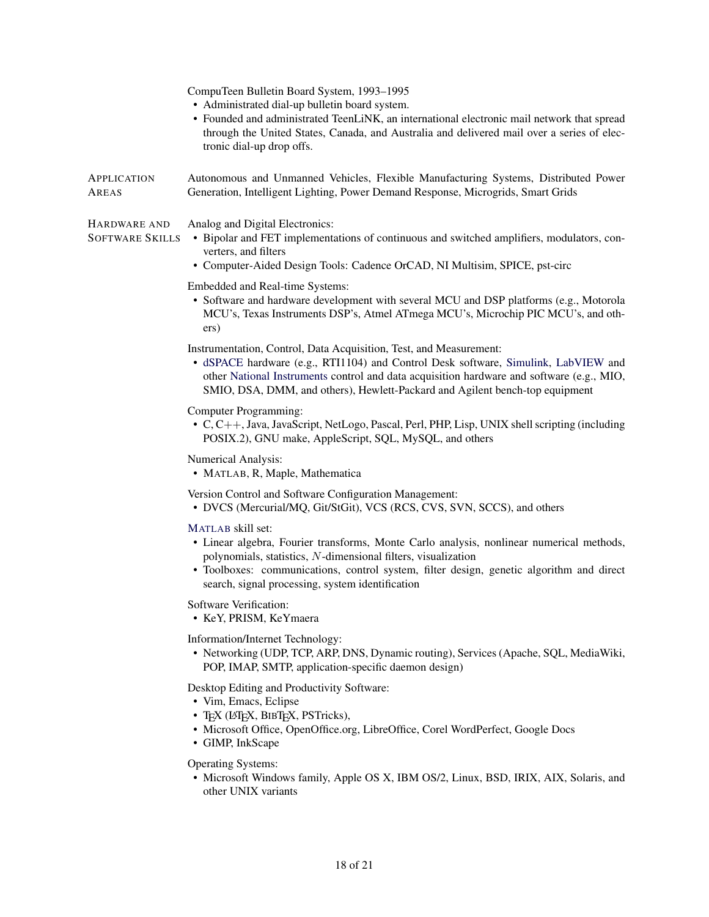|                                        | CompuTeen Bulletin Board System, 1993-1995<br>• Administrated dial-up bulletin board system.<br>• Founded and administrated TeenLiNK, an international electronic mail network that spread<br>through the United States, Canada, and Australia and delivered mail over a series of elec-<br>tronic dial-up drop offs.                 |
|----------------------------------------|---------------------------------------------------------------------------------------------------------------------------------------------------------------------------------------------------------------------------------------------------------------------------------------------------------------------------------------|
| APPLICATION<br>AREAS                   | Autonomous and Unmanned Vehicles, Flexible Manufacturing Systems, Distributed Power<br>Generation, Intelligent Lighting, Power Demand Response, Microgrids, Smart Grids                                                                                                                                                               |
| HARDWARE AND<br><b>SOFTWARE SKILLS</b> | Analog and Digital Electronics:<br>• Bipolar and FET implementations of continuous and switched amplifiers, modulators, con-<br>verters, and filters<br>• Computer-Aided Design Tools: Cadence OrCAD, NI Multisim, SPICE, pst-circ                                                                                                    |
|                                        | Embedded and Real-time Systems:<br>• Software and hardware development with several MCU and DSP platforms (e.g., Motorola<br>MCU's, Texas Instruments DSP's, Atmel ATmega MCU's, Microchip PIC MCU's, and oth-<br>ers)                                                                                                                |
|                                        | Instrumentation, Control, Data Acquisition, Test, and Measurement:<br>• dSPACE hardware (e.g., RTI1104) and Control Desk software, Simulink, LabVIEW and<br>other National Instruments control and data acquisition hardware and software (e.g., MIO,<br>SMIO, DSA, DMM, and others), Hewlett-Packard and Agilent bench-top equipment |
|                                        | Computer Programming:<br>• C, C++, Java, JavaScript, NetLogo, Pascal, Perl, PHP, Lisp, UNIX shell scripting (including<br>POSIX.2), GNU make, AppleScript, SQL, MySQL, and others                                                                                                                                                     |
|                                        | Numerical Analysis:<br>• MATLAB, R, Maple, Mathematica                                                                                                                                                                                                                                                                                |
|                                        | Version Control and Software Configuration Management:<br>• DVCS (Mercurial/MQ, Git/StGit), VCS (RCS, CVS, SVN, SCCS), and others                                                                                                                                                                                                     |
|                                        | MATLAB skill set:<br>• Linear algebra, Fourier transforms, Monte Carlo analysis, nonlinear numerical methods,<br>polynomials, statistics, N-dimensional filters, visualization<br>• Toolboxes: communications, control system, filter design, genetic algorithm and direct<br>search, signal processing, system identification        |
|                                        | Software Verification:<br>• KeY, PRISM, KeYmaera                                                                                                                                                                                                                                                                                      |
|                                        | Information/Internet Technology:<br>• Networking (UDP, TCP, ARP, DNS, Dynamic routing), Services (Apache, SQL, MediaWiki,<br>POP, IMAP, SMTP, application-specific daemon design)                                                                                                                                                     |
|                                        | Desktop Editing and Productivity Software:<br>• Vim, Emacs, Eclipse<br>• TEX (LATEX, BIBTEX, PSTricks),<br>• Microsoft Office, OpenOffice.org, LibreOffice, Corel WordPerfect, Google Docs<br>• GIMP, InkScape                                                                                                                        |
|                                        | <b>Operating Systems:</b><br>· Microsoft Windows family, Apple OS X, IBM OS/2, Linux, BSD, IRIX, AIX, Solaris, and<br>other UNIX variants                                                                                                                                                                                             |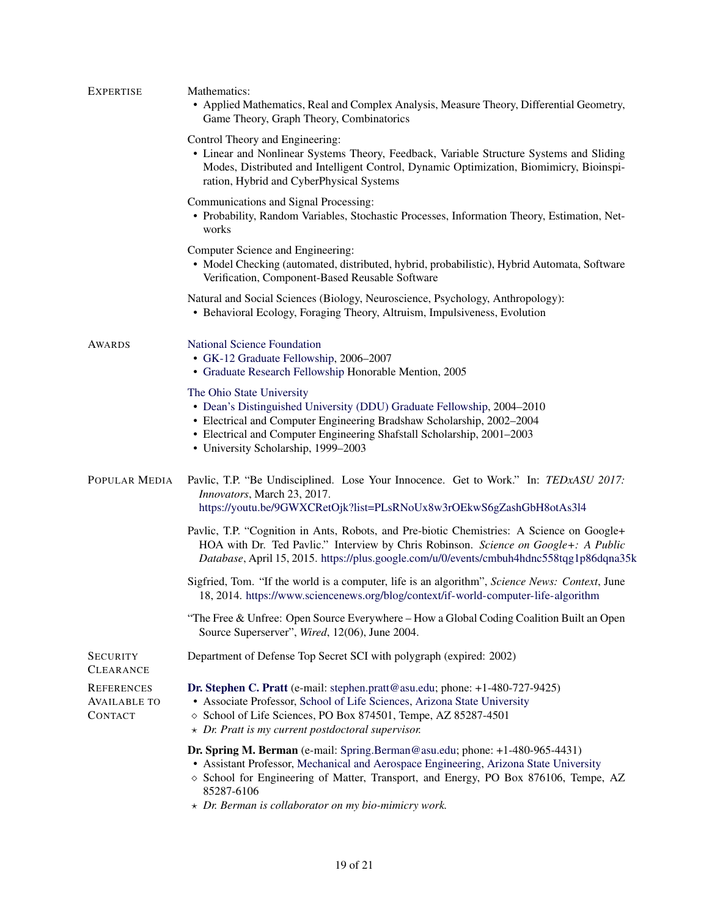| <b>EXPERTISE</b>                                           | Mathematics:<br>• Applied Mathematics, Real and Complex Analysis, Measure Theory, Differential Geometry,<br>Game Theory, Graph Theory, Combinatorics                                                                                                                                                                                              |
|------------------------------------------------------------|---------------------------------------------------------------------------------------------------------------------------------------------------------------------------------------------------------------------------------------------------------------------------------------------------------------------------------------------------|
|                                                            | Control Theory and Engineering:<br>• Linear and Nonlinear Systems Theory, Feedback, Variable Structure Systems and Sliding<br>Modes, Distributed and Intelligent Control, Dynamic Optimization, Biomimicry, Bioinspi-<br>ration, Hybrid and CyberPhysical Systems                                                                                 |
|                                                            | Communications and Signal Processing:<br>• Probability, Random Variables, Stochastic Processes, Information Theory, Estimation, Net-<br>works                                                                                                                                                                                                     |
|                                                            | Computer Science and Engineering:<br>• Model Checking (automated, distributed, hybrid, probabilistic), Hybrid Automata, Software<br>Verification, Component-Based Reusable Software                                                                                                                                                               |
|                                                            | Natural and Social Sciences (Biology, Neuroscience, Psychology, Anthropology):<br>• Behavioral Ecology, Foraging Theory, Altruism, Impulsiveness, Evolution                                                                                                                                                                                       |
| AWARDS                                                     | <b>National Science Foundation</b><br>• GK-12 Graduate Fellowship, 2006-2007<br>• Graduate Research Fellowship Honorable Mention, 2005                                                                                                                                                                                                            |
|                                                            | The Ohio State University<br>• Dean's Distinguished University (DDU) Graduate Fellowship, 2004-2010<br>• Electrical and Computer Engineering Bradshaw Scholarship, 2002–2004<br>• Electrical and Computer Engineering Shafstall Scholarship, 2001-2003<br>• University Scholarship, 1999-2003                                                     |
| POPULAR MEDIA                                              | Pavlic, T.P. "Be Undisciplined. Lose Your Innocence. Get to Work." In: TEDxASU 2017:<br>Innovators, March 23, 2017.<br>https://youtu.be/9GWXCRetOjk?list=PLsRNoUx8w3rOEkwS6gZashGbH8otAs3l4                                                                                                                                                       |
|                                                            | Pavlic, T.P. "Cognition in Ants, Robots, and Pre-biotic Chemistries: A Science on Google+<br>HOA with Dr. Ted Pavlic." Interview by Chris Robinson. Science on Google+: A Public<br>Database, April 15, 2015. https://plus.google.com/u/0/events/cmbuh4hdnc558tqg1p86dqna35k                                                                      |
|                                                            | Sigfried, Tom. "If the world is a computer, life is an algorithm", Science News: Context, June<br>18, 2014. https://www.sciencenews.org/blog/context/if-world-computer-life-algorithm                                                                                                                                                             |
|                                                            | "The Free & Unfree: Open Source Everywhere – How a Global Coding Coalition Built an Open<br>Source Superserver", Wired, 12(06), June 2004.                                                                                                                                                                                                        |
| <b>SECURITY</b><br><b>CLEARANCE</b>                        | Department of Defense Top Secret SCI with polygraph (expired: 2002)                                                                                                                                                                                                                                                                               |
| <b>REFERENCES</b><br><b>AVAILABLE TO</b><br><b>CONTACT</b> | Dr. Stephen C. Pratt (e-mail: stephen.pratt@asu.edu; phone: +1-480-727-9425)<br>• Associate Professor, School of Life Sciences, Arizona State University<br>◇ School of Life Sciences, PO Box 874501, Tempe, AZ 85287-4501<br>$\star$ Dr. Pratt is my current postdoctoral supervisor.                                                            |
|                                                            | Dr. Spring M. Berman (e-mail: Spring.Berman@asu.edu; phone: +1-480-965-4431)<br>• Assistant Professor, Mechanical and Aerospace Engineering, Arizona State University<br>$\diamond$ School for Engineering of Matter, Transport, and Energy, PO Box 876106, Tempe, AZ<br>85287-6106<br>$\star$ Dr. Berman is collaborator on my bio-mimicry work. |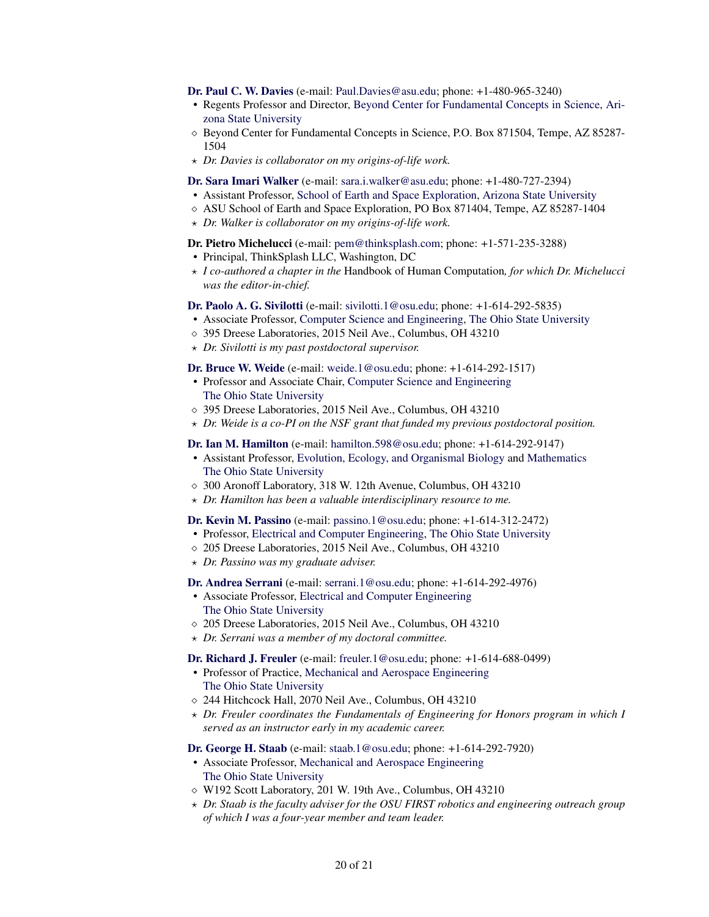[Dr. Paul C. W. Davies](http://cosmos.asu.edu/) (e-mail: [Paul.Davies@asu.edu;](mailto:Paul.Davies@asu.edu) phone: +1-480-965-3240)

- Regents Professor and Director, [Beyond Center for Fundamental Concepts in Science,](http://beyond.asu.edu/) [Ari](http://www.asu.edu/)[zona State University](http://www.asu.edu/)
- ⋄ Beyond Center for Fundamental Concepts in Science, P.O. Box 871504, Tempe, AZ 85287- 1504
- ⋆ *Dr. Davies is collaborator on my origins-of-life work.*

#### [Dr. Sara Imari Walker](http://emergence.asu.edu/) (e-mail: [sara.i.walker@asu.edu;](mailto:sara.i.walker@asu.edu) phone: +1-480-727-2394)

- Assistant Professor, [School of Earth and Space Exploration,](http://sese.asu.edu/) [Arizona State University](http://www.asu.edu/)
- ⋄ ASU School of Earth and Space Exploration, PO Box 871404, Tempe, AZ 85287-1404
- ⋆ *Dr. Walker is collaborator on my origins-of-life work.*

#### Dr. Pietro Michelucci (e-mail: [pem@thinksplash.com;](mailto:pem@thinksplash.com) phone: +1-571-235-3288)

- Principal, ThinkSplash LLC, Washington, DC
- ⋆ *I co-authored a chapter in the* Handbook of Human Computation*, for which Dr. Michelucci was the editor-in-chief.*

#### [Dr. Paolo A. G. Sivilotti](http://www.cse.ohio-state.edu/~paolo/) (e-mail: [sivilotti.1@osu.edu;](mailto:sivilotti.1@osu.edu) phone: +1-614-292-5835)

- Associate Professor, [Computer Science and Engineering,](http://www.cse.ohio-state.edu/) [The Ohio State University](http://www.osu.edu/)
- ⋄ 395 Dreese Laboratories, 2015 Neil Ave., Columbus, OH 43210
- ⋆ *Dr. Sivilotti is my past postdoctoral supervisor.*

#### [Dr. Bruce W. Weide](http://www.cse.ohio-state.edu/~weide/) (e-mail: [weide.1@osu.edu;](mailto:weide.1@osu.edu) phone: +1-614-292-1517)

- Professor and Associate Chair, [Computer Science and Engineering](http://www.cse.ohio-state.edu/) [The Ohio State University](http://www.osu.edu/)
- ⋄ 395 Dreese Laboratories, 2015 Neil Ave., Columbus, OH 43210
- ⋆ *Dr. Weide is a co-PI on the NSF grant that funded my previous postdoctoral position.*

#### [Dr. Ian M. Hamilton](http://hamilton-lab.wikidot.com/) (e-mail: [hamilton.598@osu.edu;](mailto:hamilton.598@osu.edu) phone: +1-614-292-9147)

- Assistant Professor, [Evolution, Ecology, and Organismal Biology](http://eeob.osu.edu/) and [Mathematics](http://www.math.ohio-state.edu/) [The Ohio State University](http://www.osu.edu/)
- ⋄ 300 Aronoff Laboratory, 318 W. 12th Avenue, Columbus, OH 43210
- $\star$  *Dr. Hamilton has been a valuable interdisciplinary resource to me.*

[Dr. Kevin M. Passino](http://www.ece.osu.edu/~passino/) (e-mail: [passino.1@osu.edu;](mailto:passino.1@osu.edu) phone: +1-614-312-2472)

- Professor, [Electrical and Computer Engineering,](http://www.ece.osu.edu/) [The Ohio State University](http://www.osu.edu/)
- ⋄ 205 Dreese Laboratories, 2015 Neil Ave., Columbus, OH 43210
- ⋆ *Dr. Passino was my graduate adviser.*

[Dr. Andrea Serrani](http://www.ece.osu.edu/~serrani/) (e-mail: [serrani.1@osu.edu;](mailto:serrani.1@osu.edu) phone: +1-614-292-4976)

- Associate Professor, [Electrical and Computer Engineering](http://www.ece.osu.edu/) [The Ohio State University](http://www.osu.edu/)
- ⋄ 205 Dreese Laboratories, 2015 Neil Ave., Columbus, OH 43210
- ⋆ *Dr. Serrani was a member of my doctoral committee.*

[Dr. Richard J. Freuler](http://feh.osu.edu/staff/view.html?UID=798) (e-mail: [freuler.1@osu.edu;](mailto:freuler.1@osu.edu) phone: +1-614-688-0499)

- Professor of Practice, [Mechanical and Aerospace Engineering](http://mae.osu.edu/) [The Ohio State University](http://www.osu.edu/)
- ⋄ 244 Hitchcock Hall, 2070 Neil Ave., Columbus, OH 43210
- ⋆ *Dr. Freuler coordinates the Fundamentals of Engineering for Honors program in which I served as an instructor early in my academic career.*

#### [Dr. George H. Staab](http://mae.osu.edu/people/staab.1) (e-mail: [staab.1@osu.edu;](mailto:staab.1@osu.edu) phone: +1-614-292-7920)

- Associate Professor, [Mechanical and Aerospace Engineering](http://mae.osu.edu/) [The Ohio State University](http://www.osu.edu/)
- ⋄ W192 Scott Laboratory, 201 W. 19th Ave., Columbus, OH 43210
- ⋆ *Dr. Staab is the faculty adviser for the OSU FIRST robotics and engineering outreach group of which I was a four-year member and team leader.*